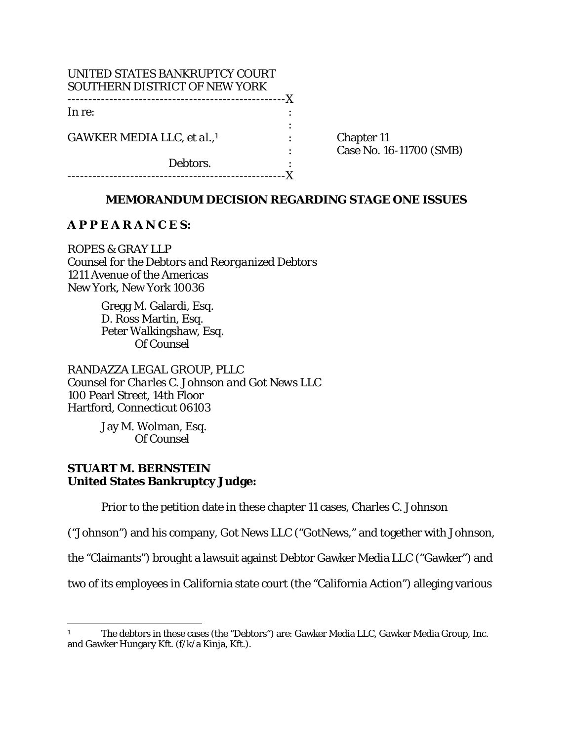| UNITED STATES BANKRUPTCY COURT<br>SOUTHERN DISTRICT OF NEW YORK |   |
|-----------------------------------------------------------------|---|
| ------------------------------<br>In re:                        | X |
| GAWKER MEDIA LLC, et al.,1                                      |   |
|                                                                 |   |
| Debtors.<br>.                                                   |   |

Chapter 11 : Case No. 16-11700 (SMB)

## **MEMORANDUM DECISION REGARDING STAGE ONE ISSUES**

### **A P P E A R A N C E S:**

ROPES & GRAY LLP *Counsel for the Debtors and Reorganized Debtors*  1211 Avenue of the Americas New York, New York 10036

> Gregg M. Galardi, Esq. D. Ross Martin, Esq. Peter Walkingshaw, Esq. Of Counsel

RANDAZZA LEGAL GROUP, PLLC *Counsel for Charles C. Johnson and Got News LLC*  100 Pearl Street, 14th Floor Hartford, Connecticut 06103

> Jay M. Wolman, Esq. Of Counsel

# **STUART M. BERNSTEIN United States Bankruptcy Judge:**

<u>.</u>

Prior to the petition date in these chapter 11 cases, Charles C. Johnson

("Johnson") and his company, Got News LLC ("GotNews," and together with Johnson,

the "Claimants") brought a lawsuit against Debtor Gawker Media LLC ("Gawker") and

two of its employees in California state court (the "California Action") alleging various

<sup>1</sup> The debtors in these cases (the "Debtors") are: Gawker Media LLC, Gawker Media Group, Inc. and Gawker Hungary Kft. (f/k/a Kinja, Kft.).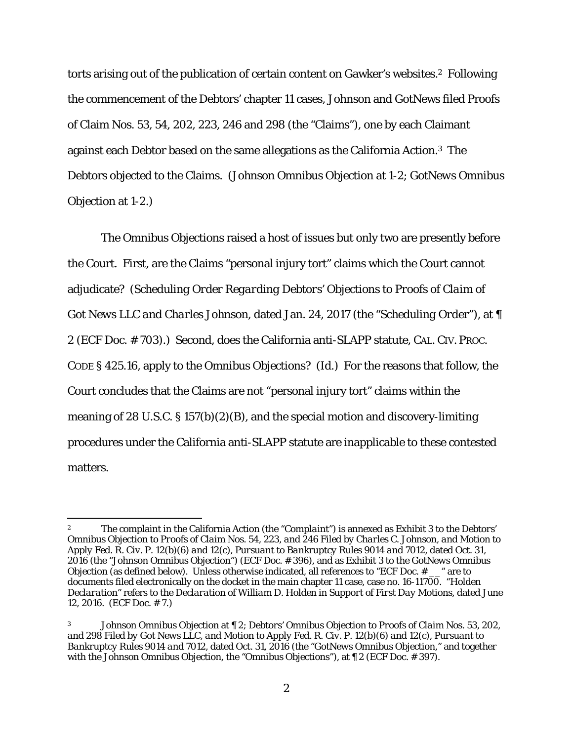torts arising out of the publication of certain content on Gawker's websites.2 Following the commencement of the Debtors' chapter 11 cases, Johnson and GotNews filed Proofs of Claim Nos. 53, 54, 202, 223, 246 and 298 (the "Claims"), one by each Claimant against each Debtor based on the same allegations as the California Action.3 The Debtors objected to the Claims. (*Johnson Omnibus Objection* at 1-2; *GotNews Omnibus Objection* at 1-2.)

The *Omnibus Objections* raised a host of issues but only two are presently before the Court. First, are the Claims "personal injury tort" claims which the Court cannot adjudicate? (*Scheduling Order Regarding Debtors' Objections to Proofs of Claim of Got News LLC and Charles Johnson*, dated Jan. 24, 2017 (the "*Scheduling Order*"), at ¶ 2 (ECF Doc. # 703).) Second, does the California anti-SLAPP statute, CAL. CIV. PROC. CODE § 425.16, apply to the *Omnibus Objections*? (*Id.*) For the reasons that follow, the Court concludes that the Claims are not "personal injury tort" claims within the meaning of 28 U.S.C. § 157(b)(2)(B), and the special motion and discovery-limiting procedures under the California anti-SLAPP statute are inapplicable to these contested matters.

<sup>2</sup> The complaint in the California Action (the "*Complaint*") is annexed as Exhibit 3 to the *Debtors' Omnibus Objection to Proofs of Claim Nos. 54, 223, and 246 Filed by Charles C. Johnson, and Motion to Apply Fed. R. Civ. P. 12(b)(6) and 12(c), Pursuant to Bankruptcy Rules 9014 and 7012*, dated Oct. 31, 2016 (the "*Johnson Omnibus Objection*") (ECF Doc. # 396), and as Exhibit 3 to the *GotNews Omnibus Objection* (as defined below). Unless otherwise indicated, all references to "ECF Doc. # <sub>\_\_</sub>" are to documents filed electronically on the docket in the main chapter 11 case, case no. 16-11700. "*Holden Declaration*" refers to the *Declaration of William D. Holden in Support of First Day Motions*, dated June 12, 2016. (ECF Doc. # 7.)

<sup>3</sup> *Johnson Omnibus Objection* at ¶ 2; *Debtors' Omnibus Objection to Proofs of Claim Nos. 53, 202, and 298 Filed by Got News LLC, and Motion to Apply Fed. R. Civ. P. 12(b)(6) and 12(c), Pursuant to Bankruptcy Rules 9014 and 7012*, dated Oct. 31, 2016 (the "*GotNews Omnibus Objection*," and together with the *Johnson Omnibus Objection*, the "*Omnibus Objections*"), at ¶ 2 (ECF Doc. # 397).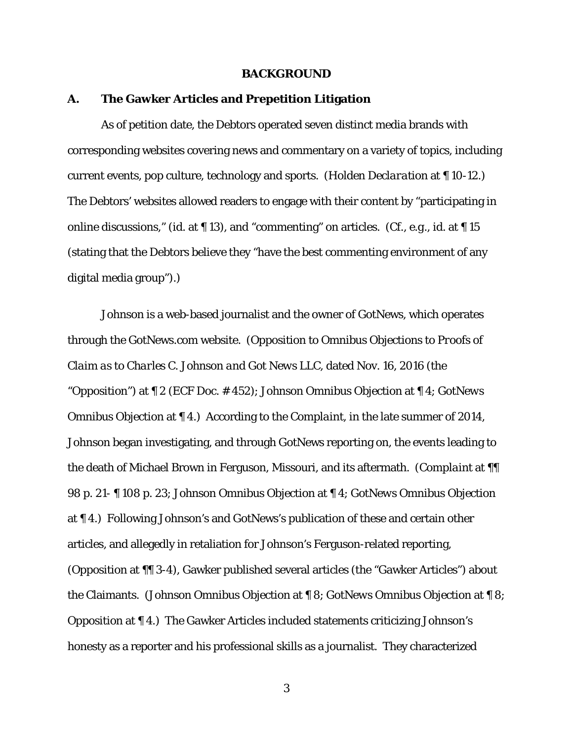#### **BACKGROUND**

### **A. The Gawker Articles and Prepetition Litigation**

 As of petition date, the Debtors operated seven distinct media brands with corresponding websites covering news and commentary on a variety of topics, including current events, pop culture, technology and sports. (*Holden Declaration* at ¶ 10-12.) The Debtors' websites allowed readers to engage with their content by "participating in online discussions," (*id.* at ¶ 13), and "commenting" on articles. (*Cf., e.g., id.* at ¶ 15 (stating that the Debtors believe they "have the best commenting environment of any digital media group").)

Johnson is a web-based journalist and the owner of GotNews, which operates through the GotNews.com website. (*Opposition to Omnibus Objections to Proofs of Claim as to Charles C. Johnson and Got News LLC*, dated Nov. 16, 2016 (the "*Opposition*") at ¶ 2 (ECF Doc. # 452); *Johnson Omnibus Objection* at ¶ 4; *GotNews Omnibus Objection* at ¶ 4.) According to the *Complaint*, in the late summer of 2014, Johnson began investigating, and through GotNews reporting on, the events leading to the death of Michael Brown in Ferguson, Missouri, and its aftermath. (*Complaint* at ¶¶ 98 p. 21- ¶ 108 p. 23; *Johnson Omnibus Objection* at ¶ 4; *GotNews Omnibus Objection* at ¶ 4.) Following Johnson's and GotNews's publication of these and certain other articles, and allegedly in retaliation for Johnson's Ferguson-related reporting, (*Opposition* at ¶¶ 3-4), Gawker published several articles (the "Gawker Articles") about the Claimants. (*Johnson Omnibus Objection* at ¶ 8; *GotNews Omnibus Objection* at ¶ 8; *Opposition* at ¶ 4.) The Gawker Articles included statements criticizing Johnson's honesty as a reporter and his professional skills as a journalist. They characterized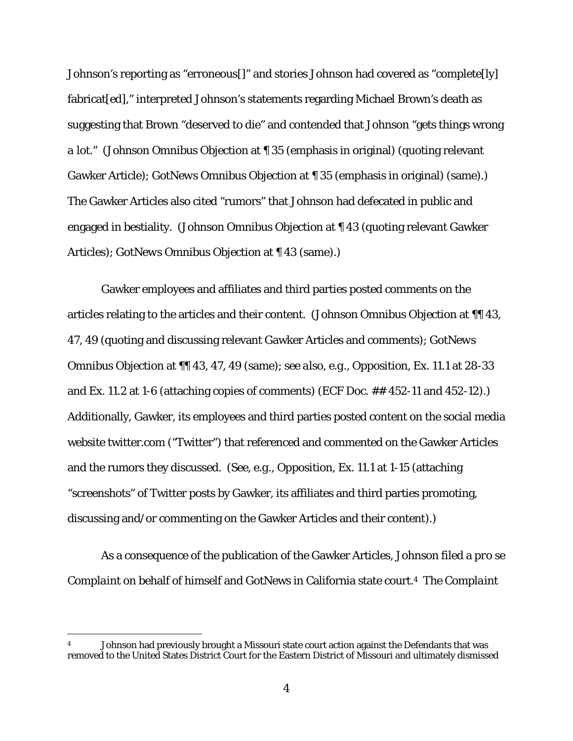Johnson's reporting as "erroneous[]" and stories Johnson had covered as "complete[ly] fabricat[ed]," interpreted Johnson's statements regarding Michael Brown's death as suggesting that Brown "deserved to die" and contended that Johnson "gets things wrong *a lot*." (*Johnson Omnibus Objection* at ¶ 35 (emphasis in original) (quoting relevant Gawker Article); *GotNews Omnibus Objection* at ¶ 35 (emphasis in original) (same).) The Gawker Articles also cited "rumors" that Johnson had defecated in public and engaged in bestiality. (*Johnson Omnibus Objection* at ¶ 43 (quoting relevant Gawker Articles); *GotNews Omnibus Objection* at ¶ 43 (same).)

Gawker employees and affiliates and third parties posted comments on the articles relating to the articles and their content. (*Johnson Omnibus Objection* at ¶¶ 43, 47, 49 (quoting and discussing relevant Gawker Articles and comments); *GotNews Omnibus Objection* at ¶¶ 43, 47, 49 (same); *see also, e.g., Opposition*, Ex. 11.1 at 28-33 and Ex. 11.2 at 1-6 (attaching copies of comments) (ECF Doc. ## 452-11 and 452-12).) Additionally, Gawker, its employees and third parties posted content on the social media website twitter.com ("Twitter") that referenced and commented on the Gawker Articles and the rumors they discussed. (*See, e.g., Opposition*, Ex. 11.1 at 1-15 (attaching "screenshots" of Twitter posts by Gawker, its affiliates and third parties promoting, discussing and/or commenting on the Gawker Articles and their content).)

As a consequence of the publication of the Gawker Articles, Johnson filed a *pro se Complaint* on behalf of himself and GotNews in California state court.4 The *Complaint*

<sup>4</sup> Johnson had previously brought a Missouri state court action against the Defendants that was removed to the United States District Court for the Eastern District of Missouri and ultimately dismissed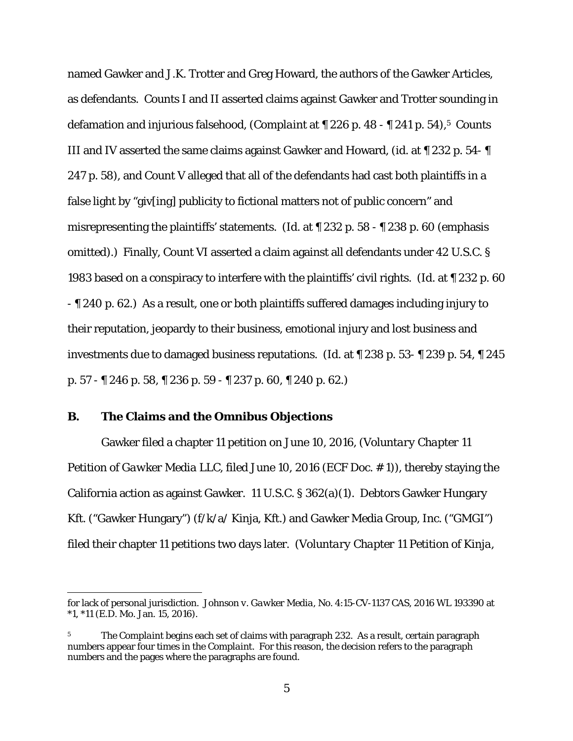named Gawker and J.K. Trotter and Greg Howard, the authors of the Gawker Articles, as defendants. Counts I and II asserted claims against Gawker and Trotter sounding in defamation and injurious falsehood, (*Complaint* at ¶ 226 p. 48 - ¶ 241 p. 54),5 Counts III and IV asserted the same claims against Gawker and Howard, (*id.* at ¶ 232 p. 54- ¶ 247 p. 58), and Count V alleged that all of the defendants had cast both plaintiffs in a false light by "giv[ing] publicity to fictional matters not of public concern" and misrepresenting the plaintiffs' statements. (*Id.* at ¶ 232 p. 58 - ¶ 238 p. 60 (emphasis omitted).) Finally, Count VI asserted a claim against all defendants under 42 U.S.C. § 1983 based on a conspiracy to interfere with the plaintiffs' civil rights. (*Id.* at ¶ 232 p. 60 - ¶ 240 p. 62.) As a result, one or both plaintiffs suffered damages including injury to their reputation, jeopardy to their business, emotional injury and lost business and investments due to damaged business reputations. (*Id.* at ¶ 238 p. 53- ¶ 239 p. 54, ¶ 245 p. 57 - ¶ 246 p. 58, ¶ 236 p. 59 - ¶ 237 p. 60, ¶ 240 p. 62.)

## **B. The Claims and the** *Omnibus Objections*

 $\overline{a}$ 

Gawker filed a chapter 11 petition on June 10, 2016, (*Voluntary Chapter 11 Petition of Gawker Media LLC*, filed June 10, 2016 (ECF Doc. # 1)), thereby staying the California action as against Gawker. 11 U.S.C. § 362(a)(1). Debtors Gawker Hungary Kft. ("Gawker Hungary") (f/k/a/ Kinja, Kft.) and Gawker Media Group, Inc. ("GMGI") filed their chapter 11 petitions two days later. (*Voluntary Chapter 11 Petition of Kinja,* 

for lack of personal jurisdiction. *Johnson v. Gawker Media*, No. 4:15-CV-1137 CAS, 2016 WL 193390 at \*1, \*11 (E.D. Mo. Jan. 15, 2016).

<sup>5</sup> The *Complaint* begins each set of claims with paragraph 232. As a result, certain paragraph numbers appear four times in the *Complaint*. For this reason, the decision refers to the paragraph numbers and the pages where the paragraphs are found.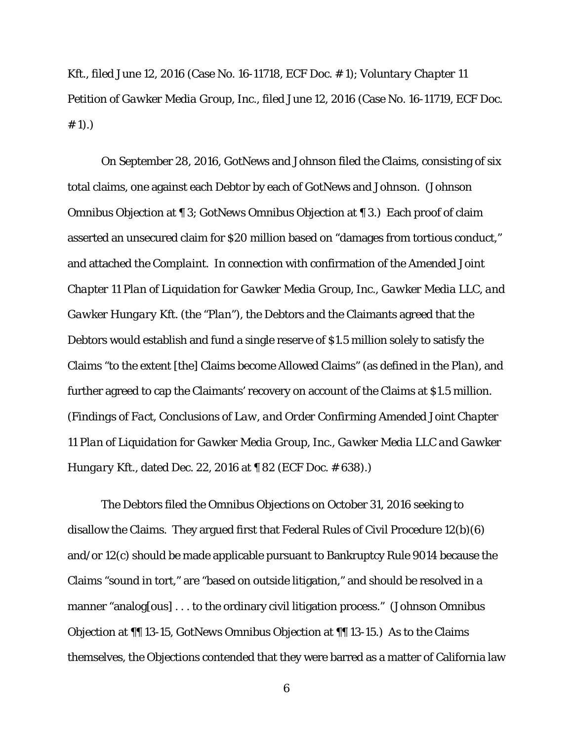*Kft.*, filed June 12, 2016 (Case No. 16-11718, ECF Doc. # 1); *Voluntary Chapter 11 Petition of Gawker Media Group, Inc.*, filed June 12, 2016 (Case No. 16-11719, ECF Doc.  $# 1).$ 

On September 28, 2016, GotNews and Johnson filed the Claims, consisting of six total claims, one against each Debtor by each of GotNews and Johnson. (*Johnson Omnibus Objection* at ¶ 3; *GotNews Omnibus Objection* at ¶ 3.) Each proof of claim asserted an unsecured claim for \$20 million based on "damages from tortious conduct," and attached the *Complaint*. In connection with confirmation of the *Amended Joint Chapter 11 Plan of Liquidation for Gawker Media Group, Inc., Gawker Media LLC, and Gawker Hungary Kft.* (the "*Plan*"), the Debtors and the Claimants agreed that the Debtors would establish and fund a single reserve of \$1.5 million solely to satisfy the Claims "to the extent [the] Claims become Allowed Claims" (as defined in the *Plan*), and further agreed to cap the Claimants' recovery on account of the Claims at \$1.5 million. (*Findings of Fact, Conclusions of Law, and Order Confirming Amended Joint Chapter 11 Plan of Liquidation for Gawker Media Group, Inc., Gawker Media LLC and Gawker Hungary Kft.*, dated Dec. 22, 2016 at 182 (ECF Doc. #638).)

The Debtors filed the *Omnibus Objections* on October 31, 2016 seeking to disallow the Claims. They argued first that Federal Rules of Civil Procedure 12(b)(6) and/or 12(c) should be made applicable pursuant to Bankruptcy Rule 9014 because the Claims "sound in tort," are "based on outside litigation," and should be resolved in a manner "analog[ous] . . . to the ordinary civil litigation process." (*Johnson Omnibus Objection* at ¶¶ 13-15, *GotNews Omnibus Objection* at ¶¶ 13-15.) As to the Claims themselves, the *Objections* contended that they were barred as a matter of California law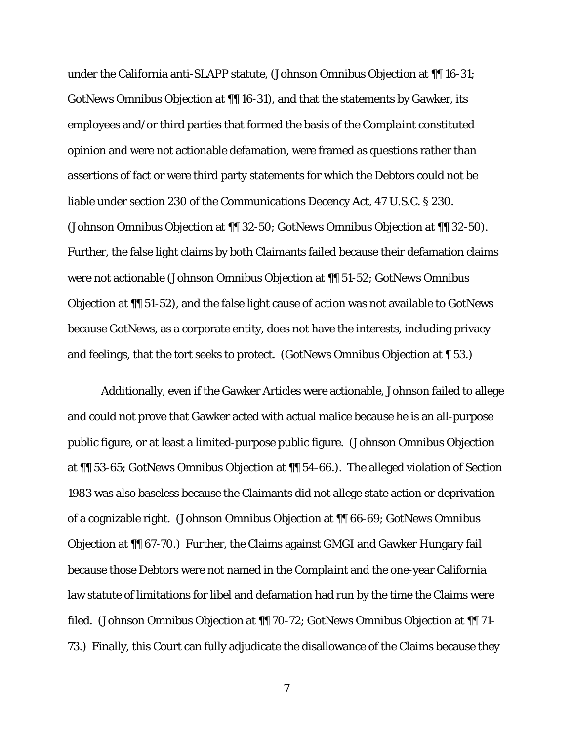under the California anti-SLAPP statute, (*Johnson Omnibus Objection* at ¶¶ 16-31; *GotNews Omnibus Objection* at ¶¶ 16-31), and that the statements by Gawker, its employees and/or third parties that formed the basis of the *Complaint* constituted opinion and were not actionable defamation, were framed as questions rather than assertions of fact or were third party statements for which the Debtors could not be liable under section 230 of the Communications Decency Act, 47 U.S.C. § 230. (*Johnson Omnibus Objection* at ¶¶ 32-50; *GotNews Omnibus Objection* at ¶¶ 32-50). Further, the false light claims by both Claimants failed because their defamation claims were not actionable (*Johnson Omnibus Objection* at ¶¶ 51-52; *GotNews Omnibus Objection* at ¶¶ 51-52), and the false light cause of action was not available to GotNews because GotNews, as a corporate entity, does not have the interests, including privacy and feelings, that the tort seeks to protect. (*GotNews Omnibus Objection* at ¶ 53.)

Additionally, even if the Gawker Articles were actionable, Johnson failed to allege and could not prove that Gawker acted with actual malice because he is an all-purpose public figure, or at least a limited-purpose public figure. (*Johnson Omnibus Objection* at ¶¶ 53-65; *GotNews Omnibus Objection* at ¶¶ 54-66.). The alleged violation of Section 1983 was also baseless because the Claimants did not allege state action or deprivation of a cognizable right. (*Johnson Omnibus Objection* at ¶¶ 66-69; *GotNews Omnibus Objection* at ¶¶ 67-70.) Further, the Claims against GMGI and Gawker Hungary fail because those Debtors were not named in the *Complaint* and the one-year California law statute of limitations for libel and defamation had run by the time the Claims were filed. (*Johnson Omnibus Objection* at ¶¶ 70-72; *GotNews Omnibus Objection* at ¶¶ 71- 73.) Finally, this Court can fully adjudicate the disallowance of the Claims because they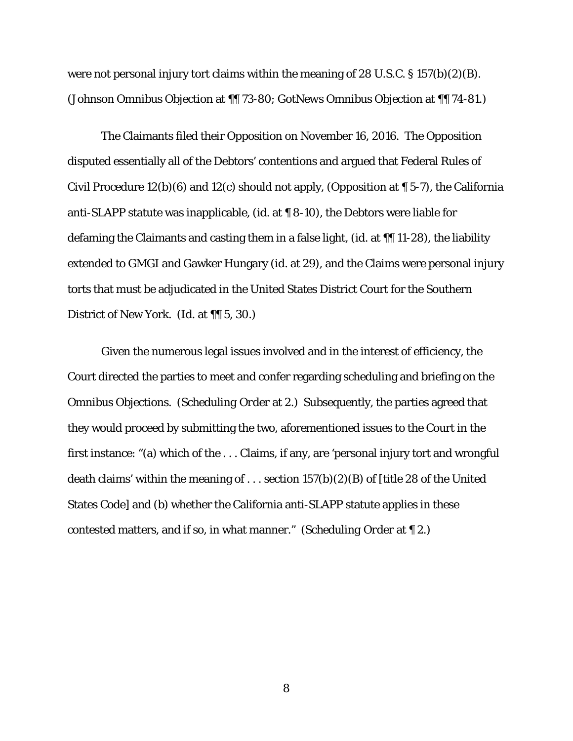were not personal injury tort claims within the meaning of 28 U.S.C. § 157(b)(2)(B). (*Johnson Omnibus Objection* at ¶¶ 73-80; *GotNews Omnibus Objection* at ¶¶ 74-81.)

The Claimants filed their *Opposition* on November 16, 2016. The *Opposition* disputed essentially all of the Debtors' contentions and argued that Federal Rules of Civil Procedure 12(b)(6) and 12(c) should not apply, (*Opposition* at ¶ 5-7), the California anti-SLAPP statute was inapplicable, (*id.* at ¶ 8-10), the Debtors were liable for defaming the Claimants and casting them in a false light, (*id.* at ¶¶ 11-28), the liability extended to GMGI and Gawker Hungary (*id.* at 29), and the Claims were personal injury torts that must be adjudicated in the United States District Court for the Southern District of New York. (*Id.* at ¶¶ 5, 30.)

Given the numerous legal issues involved and in the interest of efficiency, the Court directed the parties to meet and confer regarding scheduling and briefing on the *Omnibus Objections*. (*Scheduling Order* at 2.) Subsequently, the parties agreed that they would proceed by submitting the two, aforementioned issues to the Court in the first instance: "(a) which of the . . . Claims, if any, are 'personal injury tort and wrongful death claims' within the meaning of ... section  $157(b)(2)(B)$  of [title 28 of the United States Code] and (b) whether the California anti-SLAPP statute applies in these contested matters, and if so, in what manner." (*Scheduling Order* at ¶ 2.)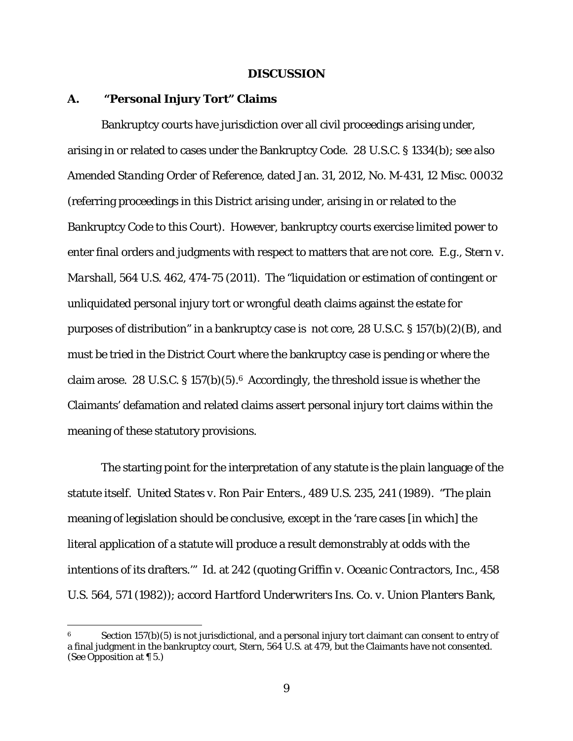#### **DISCUSSION**

### **A. "Personal Injury Tort" Claims**

<u>.</u>

Bankruptcy courts have jurisdiction over all civil proceedings arising under, arising in or related to cases under the Bankruptcy Code. 28 U.S.C. § 1334(b); *see also Amended Standing Order of Reference*, dated Jan. 31, 2012, No. M-431, 12 Misc. 00032 (referring proceedings in this District arising under, arising in or related to the Bankruptcy Code to this Court). However, bankruptcy courts exercise limited power to enter final orders and judgments with respect to matters that are not core. *E.g.*, *Stern v. Marshall*, 564 U.S. 462, 474-75 (2011). The "liquidation or estimation of contingent or unliquidated personal injury tort or wrongful death claims against the estate for purposes of distribution" in a bankruptcy case is not core, 28 U.S.C. § 157(b)(2)(B), and must be tried in the District Court where the bankruptcy case is pending or where the claim arose. 28 U.S.C. § 157(b)(5).6 Accordingly, the threshold issue is whether the Claimants' defamation and related claims assert personal injury tort claims within the meaning of these statutory provisions.

The starting point for the interpretation of any statute is the plain language of the statute itself. *United States v. Ron Pair Enters.*, 489 U.S. 235, 241 (1989). "The plain meaning of legislation should be conclusive, except in the 'rare cases [in which] the literal application of a statute will produce a result demonstrably at odds with the intentions of its drafters.'" *Id.* at 242 (quoting *Griffin v. Oceanic Contractors, Inc.*, 458 U.S. 564, 571 (1982)); *accord Hartford Underwriters Ins. Co. v. Union Planters Bank,* 

<sup>6</sup> Section 157(b)(5) is not jurisdictional, and a personal injury tort claimant can consent to entry of a final judgment in the bankruptcy court, *Stern*, 564 U.S. at 479, but the Claimants have not consented. (*See Opposition* at ¶ 5.)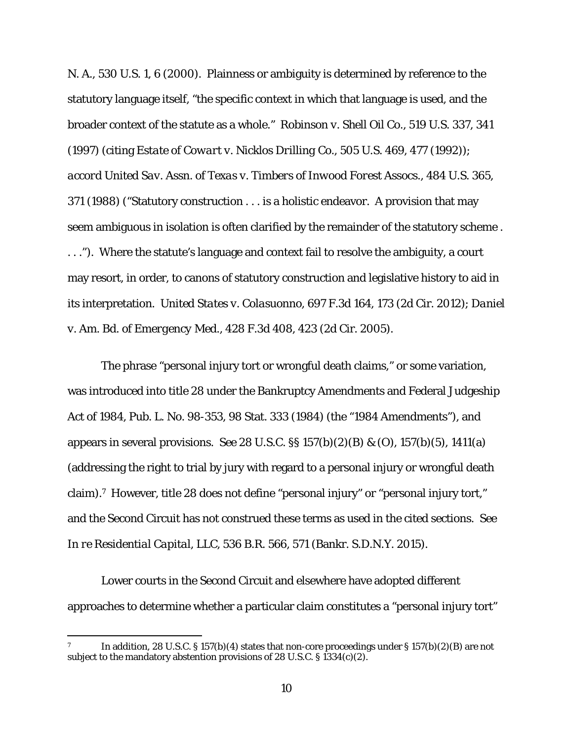*N. A.*, 530 U.S. 1, 6 (2000). Plainness or ambiguity is determined by reference to the statutory language itself, "the specific context in which that language is used, and the broader context of the statute as a whole." *Robinson v. Shell Oil Co.*, 519 U.S. 337, 341 (1997) (citing *Estate of Cowart v. Nicklos Drilling Co.*, 505 U.S. 469, 477 (1992)); *accord United Sav. Assn. of Texas v. Timbers of Inwood Forest Assocs.*, 484 U.S. 365, 371 (1988) ("Statutory construction . . . is a holistic endeavor. A provision that may seem ambiguous in isolation is often clarified by the remainder of the statutory scheme . . . ."). Where the statute's language and context fail to resolve the ambiguity, a court may resort, in order, to canons of statutory construction and legislative history to aid in its interpretation. *United States v. Colasuonno*, 697 F.3d 164, 173 (2d Cir. 2012); *Daniel v. Am. Bd. of Emergency Med.*, 428 F.3d 408, 423 (2d Cir. 2005).

The phrase "personal injury tort or wrongful death claims," or some variation, was introduced into title 28 under the Bankruptcy Amendments and Federal Judgeship Act of 1984, Pub. L. No. 98-353, 98 Stat. 333 (1984) (the "1984 Amendments"), and appears in several provisions. *See* 28 U.S.C. §§ 157(b)(2)(B) *&* (O), 157(b)(5), 1411(a) (addressing the right to trial by jury with regard to a personal injury or wrongful death claim).7 However, title 28 does not define "personal injury" or "personal injury tort," and the Second Circuit has not construed these terms as used in the cited sections. *See In re Residential Capital, LLC*, 536 B.R. 566, 571 (Bankr. S.D.N.Y. 2015).

Lower courts in the Second Circuit and elsewhere have adopted different approaches to determine whether a particular claim constitutes a "personal injury tort"

<u>.</u>

In addition, 28 U.S.C. § 157(b)(4) states that non-core proceedings under § 157(b)(2)(B) are not subject to the mandatory abstention provisions of 28 U.S.C.  $\S$  1334(c)(2).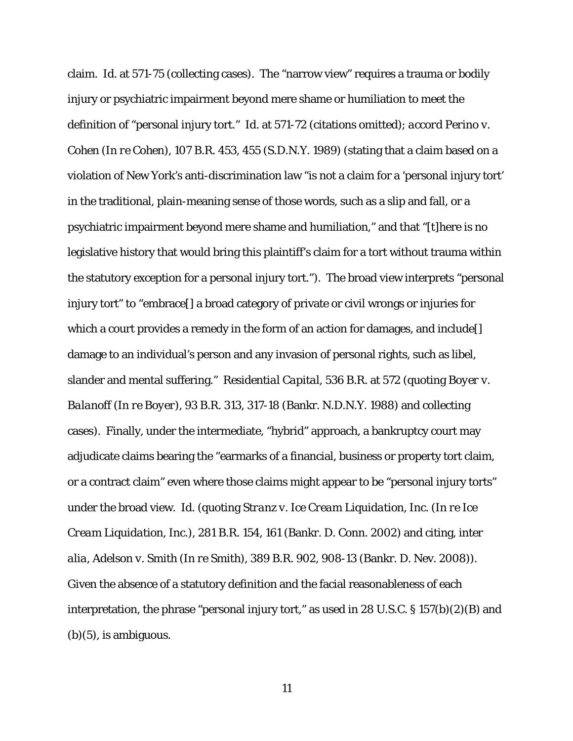claim. *Id.* at 571-75 (collecting cases). The "narrow view" requires a trauma or bodily injury or psychiatric impairment beyond mere shame or humiliation to meet the definition of "personal injury tort." *Id.* at 571-72 (citations omitted); *accord Perino v. Cohen (In re Cohen)*, 107 B.R. 453, 455 (S.D.N.Y. 1989) (stating that a claim based on a violation of New York's anti-discrimination law "is not a claim for a 'personal injury tort' in the traditional, plain-meaning sense of those words, such as a slip and fall, or a psychiatric impairment beyond mere shame and humiliation," and that "[t]here is no legislative history that would bring this plaintiff's claim for a tort without trauma within the statutory exception for a personal injury tort."). The broad view interprets "personal injury tort" to "embrace[] a broad category of private or civil wrongs or injuries for which a court provides a remedy in the form of an action for damages, and include [] damage to an individual's person and any invasion of personal rights, such as libel, slander and mental suffering." *Residential Capital*, 536 B.R*.* at 572 (quoting *Boyer v. Balanoff* (*In re Boyer*), 93 B.R. 313, 317-18 (Bankr. N.D.N.Y. 1988) and collecting cases). Finally, under the intermediate, "hybrid" approach, a bankruptcy court may adjudicate claims bearing the "earmarks of a financial, business or property tort claim, or a contract claim" even where those claims might appear to be "personal injury torts" under the broad view. *Id.* (quoting *Stranz v. Ice Cream Liquidation, Inc. (In re Ice Cream Liquidation, Inc.)*, 281 B.R. 154, 161 (Bankr. D. Conn. 2002) and citing, *inter alia*, *Adelson v. Smith (In re Smith)*, 389 B.R. 902, 908-13 (Bankr. D. Nev. 2008)). Given the absence of a statutory definition and the facial reasonableness of each interpretation, the phrase "personal injury tort," as used in 28 U.S.C.  $\S 157(b)(2)(B)$  and  $(b)(5)$ , is ambiguous.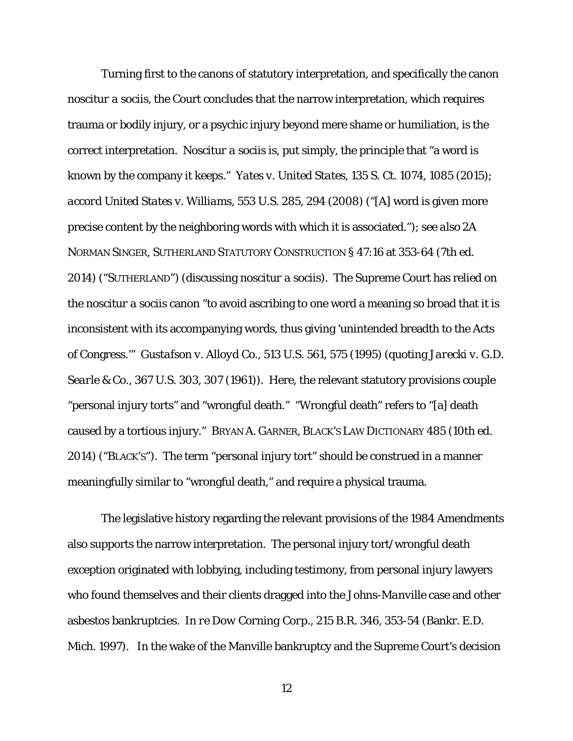Turning first to the canons of statutory interpretation, and specifically the canon *noscitur a sociis*, the Court concludes that the narrow interpretation, which requires trauma or bodily injury, or a psychic injury beyond mere shame or humiliation, is the correct interpretation. *Noscitur a sociis* is, put simply, the principle that "a word is known by the company it keeps." *Yates v. United States*, 135 S. Ct. 1074, 1085 (2015); *accord United States v. Williams*, 553 U.S. 285, 294 (2008) ("[A] word is given more precise content by the neighboring words with which it is associated."); *see also* 2A NORMAN SINGER, SUTHERLAND STATUTORY CONSTRUCTION § 47:16 at 353-64 (7th ed. 2014) ("SUTHERLAND") (discussing *noscitur a sociis*). The Supreme Court has relied on the *noscitur a sociis* canon "to avoid ascribing to one word a meaning so broad that it is inconsistent with its accompanying words, thus giving 'unintended breadth to the Acts of Congress.'" *Gustafson v. Alloyd Co.*, 513 U.S. 561, 575 (1995) (quoting *Jarecki v. G.D. Searle & Co.*, 367 U.S. 303, 307 (1961)). Here, the relevant statutory provisions couple "personal injury torts" and "wrongful death." "Wrongful death" refers to "[a] death caused by a tortious injury." BRYAN A. GARNER, BLACK'S LAW DICTIONARY 485 (10th ed. 2014) ("BLACK'S"). The term "personal injury tort" should be construed in a manner meaningfully similar to "wrongful death," and require a physical trauma.

The legislative history regarding the relevant provisions of the 1984 Amendments also supports the narrow interpretation. The personal injury tort/wrongful death exception originated with lobbying, including testimony, from personal injury lawyers who found themselves and their clients dragged into the *Johns-Manville* case and other asbestos bankruptcies. *In re Dow Corning Corp.*, 215 B.R. 346, 353-54 (Bankr. E.D. Mich. 1997). In the wake of the Manville bankruptcy and the Supreme Court's decision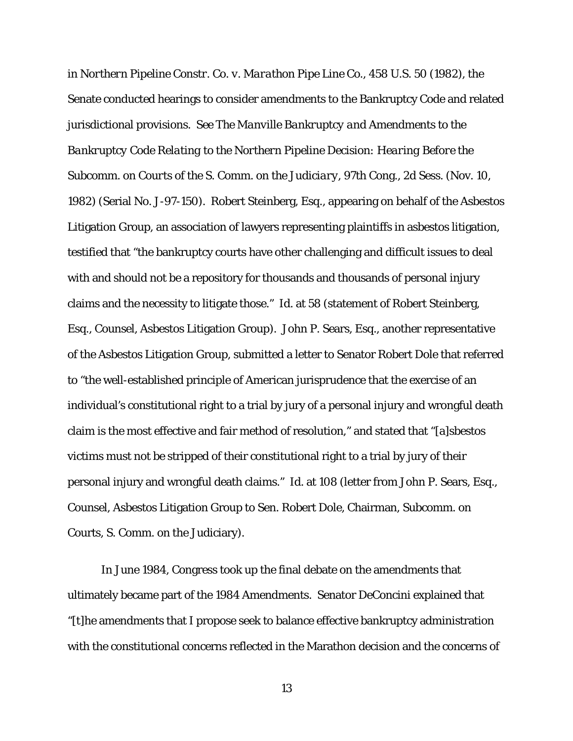in *Northern Pipeline Constr. Co. v. Marathon Pipe Line Co.*, 458 U.S. 50 (1982), the Senate conducted hearings to consider amendments to the Bankruptcy Code and related jurisdictional provisions. *See The Manville Bankruptcy and Amendments to the Bankruptcy Code Relating to the Northern Pipeline Decision: Hearing Before the Subcomm. on Courts of the S. Comm. on the Judiciary*, 97th Cong., 2d Sess. (Nov. 10, 1982) (Serial No. J-97-150). Robert Steinberg, Esq., appearing on behalf of the Asbestos Litigation Group, an association of lawyers representing plaintiffs in asbestos litigation, testified that "the bankruptcy courts have other challenging and difficult issues to deal with and should not be a repository for thousands and thousands of personal injury claims and the necessity to litigate those." *Id.* at 58 (statement of Robert Steinberg, Esq., Counsel, Asbestos Litigation Group). John P. Sears, Esq., another representative of the Asbestos Litigation Group, submitted a letter to Senator Robert Dole that referred to "the well-established principle of American jurisprudence that the exercise of an individual's constitutional right to a trial by jury of a personal injury and wrongful death claim is the most effective and fair method of resolution," and stated that "[a]sbestos victims must not be stripped of their constitutional right to a trial by jury of their personal injury and wrongful death claims." *Id.* at 108 (letter from John P. Sears, Esq., Counsel, Asbestos Litigation Group to Sen. Robert Dole, Chairman, Subcomm. on Courts, S. Comm. on the Judiciary).

In June 1984, Congress took up the final debate on the amendments that ultimately became part of the 1984 Amendments. Senator DeConcini explained that "[t]he amendments that I propose seek to balance effective bankruptcy administration with the constitutional concerns reflected in the Marathon decision and the concerns of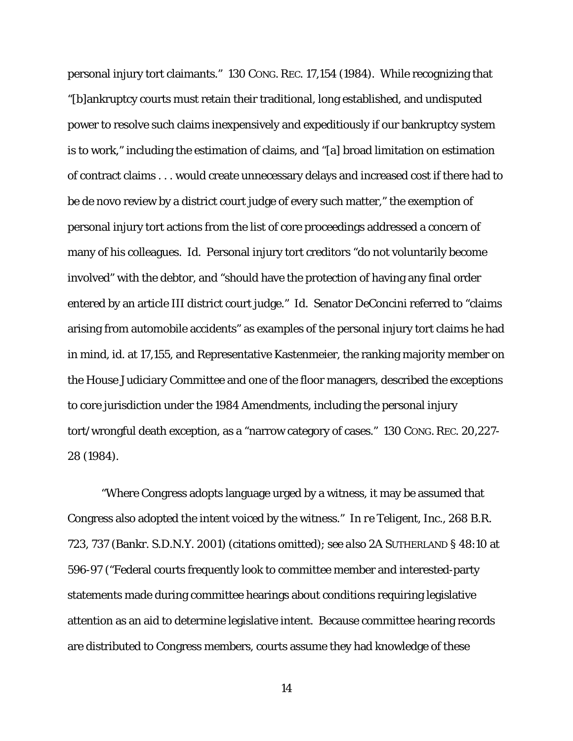personal injury tort claimants." 130 CONG. REC. 17,154 (1984). While recognizing that "[b]ankruptcy courts must retain their traditional, long established, and undisputed power to resolve such claims inexpensively and expeditiously if our bankruptcy system is to work," including the estimation of claims, and "[a] broad limitation on estimation of contract claims . . . would create unnecessary delays and increased cost if there had to be de novo review by a district court judge of every such matter," the exemption of personal injury tort actions from the list of core proceedings addressed a concern of many of his colleagues. *Id.* Personal injury tort creditors "do not voluntarily become involved" with the debtor, and "should have the protection of having any final order entered by an article III district court judge." *Id.* Senator DeConcini referred to "claims arising from automobile accidents" as examples of the personal injury tort claims he had in mind, *id.* at 17,155, and Representative Kastenmeier, the ranking majority member on the House Judiciary Committee and one of the floor managers, described the exceptions to core jurisdiction under the 1984 Amendments, including the personal injury tort/wrongful death exception, as a "narrow category of cases." 130 CONG. REC. 20,227- 28 (1984).

"Where Congress adopts language urged by a witness, it may be assumed that Congress also adopted the intent voiced by the witness." *In re Teligent, Inc.*, 268 B.R. 723, 737 (Bankr. S.D.N.Y. 2001) (citations omitted); *see also* 2A SUTHERLAND § 48:10 at 596-97 ("Federal courts frequently look to committee member and interested-party statements made during committee hearings about conditions requiring legislative attention as an aid to determine legislative intent. Because committee hearing records are distributed to Congress members, courts assume they had knowledge of these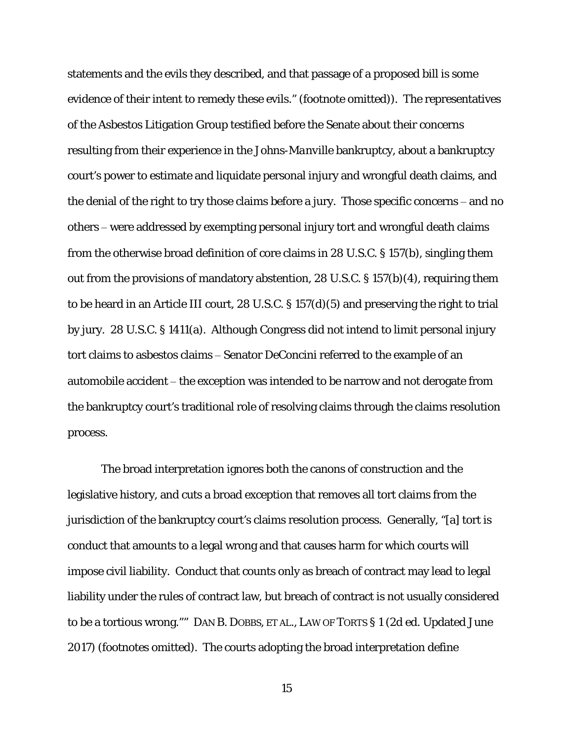statements and the evils they described, and that passage of a proposed bill is some evidence of their intent to remedy these evils." (footnote omitted)). The representatives of the Asbestos Litigation Group testified before the Senate about their concerns resulting from their experience in the *Johns-Manville* bankruptcy, about a bankruptcy court's power to estimate and liquidate personal injury and wrongful death claims, and the denial of the right to try those claims before a jury. Those specific concerns – and no others – were addressed by exempting personal injury tort and wrongful death claims from the otherwise broad definition of core claims in 28 U.S.C. § 157(b), singling them out from the provisions of mandatory abstention, 28 U.S.C. § 157(b)(4), requiring them to be heard in an Article III court, 28 U.S.C. § 157(d)(5) and preserving the right to trial by jury. 28 U.S.C. § 1411(a). Although Congress did not intend to limit personal injury tort claims to asbestos claims – Senator DeConcini referred to the example of an automobile accident – the exception was intended to be narrow and not derogate from the bankruptcy court's traditional role of resolving claims through the claims resolution process.

The broad interpretation ignores both the canons of construction and the legislative history, and cuts a broad exception that removes all tort claims from the jurisdiction of the bankruptcy court's claims resolution process. Generally, "[a] tort is conduct that amounts to a legal wrong and that causes harm for which courts will impose civil liability. Conduct that counts only as breach of contract may lead to legal liability under the rules of contract law, but breach of contract is not usually considered to be a tortious wrong."" DAN B. DOBBS, *ET AL*., LAW OF TORTS § 1 (2d ed. Updated June 2017) (footnotes omitted). The courts adopting the broad interpretation define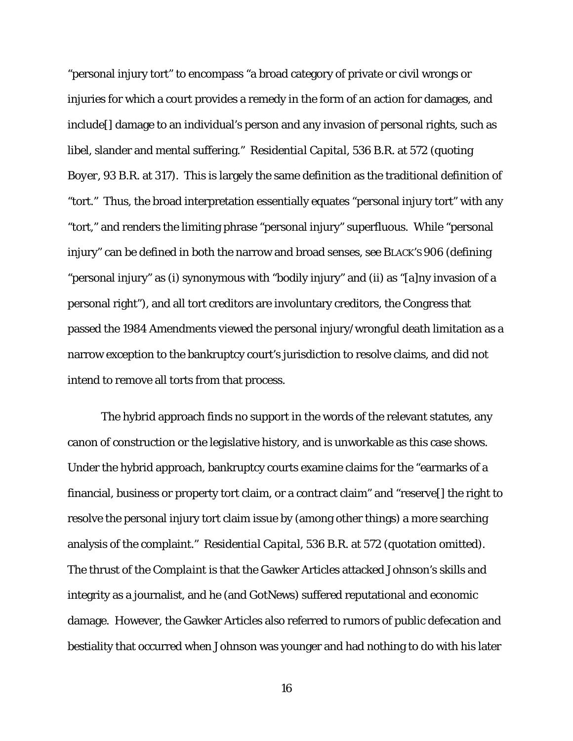"personal injury tort" to encompass "a broad category of private or civil wrongs or injuries for which a court provides a remedy in the form of an action for damages, and include[] damage to an individual's person and any invasion of personal rights, such as libel, slander and mental suffering." *Residential Capital*, 536 B.R. at 572 (quoting *Boyer*, 93 B.R. at 317). This is largely the same definition as the traditional definition of "tort." Thus, the broad interpretation essentially equates "personal injury tort" with any "tort," and renders the limiting phrase "personal injury" superfluous. While "personal injury" can be defined in both the narrow and broad senses, *see* BLACK'S 906 (defining "personal injury" as (i) synonymous with "bodily injury" and (ii) as "[a]ny invasion of a personal right"), and all tort creditors are involuntary creditors, the Congress that passed the 1984 Amendments viewed the personal injury/wrongful death limitation as a narrow exception to the bankruptcy court's jurisdiction to resolve claims, and did not intend to remove all torts from that process.

The hybrid approach finds no support in the words of the relevant statutes, any canon of construction or the legislative history, and is unworkable as this case shows. Under the hybrid approach, bankruptcy courts examine claims for the "earmarks of a financial, business or property tort claim, or a contract claim" and "reserve[] the right to resolve the personal injury tort claim issue by (among other things) a more searching analysis of the complaint." *Residential Capital*, 536 B.R. at 572 (quotation omitted). The thrust of the *Complaint* is that the Gawker Articles attacked Johnson's skills and integrity as a journalist, and he (and GotNews) suffered reputational and economic damage. However, the Gawker Articles also referred to rumors of public defecation and bestiality that occurred when Johnson was younger and had nothing to do with his later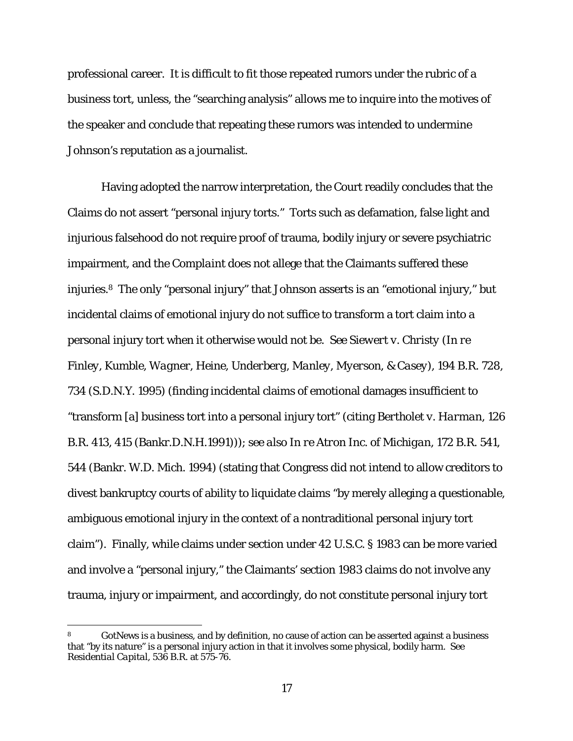professional career. It is difficult to fit those repeated rumors under the rubric of a business tort, unless, the "searching analysis" allows me to inquire into the motives of the speaker and conclude that repeating these rumors was intended to undermine Johnson's reputation as a journalist.

Having adopted the narrow interpretation, the Court readily concludes that the Claims do not assert "personal injury torts." Torts such as defamation, false light and injurious falsehood do not require proof of trauma, bodily injury or severe psychiatric impairment, and the *Complaint* does not allege that the Claimants suffered these injuries.8 The only "personal injury" that Johnson asserts is an "emotional injury," but incidental claims of emotional injury do not suffice to transform a tort claim into a personal injury tort when it otherwise would not be. *See Siewert v. Christy* (*In re Finley, Kumble, Wagner, Heine, Underberg, Manley, Myerson, & Casey*), 194 B.R. 728, 734 (S.D.N.Y. 1995) (finding incidental claims of emotional damages insufficient to "transform [a] business tort into a personal injury tort" (citing *Bertholet v. Harman*, 126 B.R. 413, 415 (Bankr.D.N.H.1991))); *see also In re Atron Inc. of Michigan*, 172 B.R. 541, 544 (Bankr. W.D. Mich. 1994) (stating that Congress did not intend to allow creditors to divest bankruptcy courts of ability to liquidate claims "by merely alleging a questionable, ambiguous emotional injury in the context of a nontraditional personal injury tort claim"). Finally, while claims under section under 42 U.S.C. § 1983 can be more varied and involve a "personal injury," the Claimants' section 1983 claims do not involve any trauma, injury or impairment, and accordingly, do not constitute personal injury tort

<u>.</u>

GotNews is a business, and by definition, no cause of action can be asserted against a business that "by its nature" is a personal injury action in that it involves some physical, bodily harm. *See Residential Capital*, 536 B.R. at 575-76.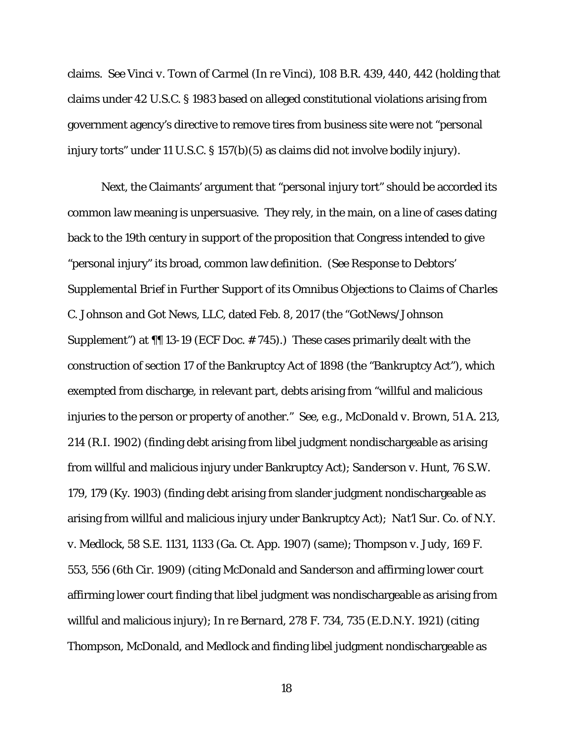claims. *See Vinci v. Town of Carmel* (*In re Vinci*), 108 B.R. 439, 440, 442 (holding that claims under 42 U.S.C. § 1983 based on alleged constitutional violations arising from government agency's directive to remove tires from business site were not "personal injury torts" under 11 U.S.C. § 157(b)(5) as claims did not involve bodily injury).

Next, the Claimants' argument that "personal injury tort" should be accorded its common law meaning is unpersuasive. They rely, in the main, on a line of cases dating back to the 19th century in support of the proposition that Congress intended to give "personal injury" its broad, common law definition. (*See Response to Debtors' Supplemental Brief in Further Support of its Omnibus Objections to Claims of Charles C. Johnson and Got News, LLC*, dated Feb. 8, 2017 (the "*GotNews/Johnson Supplement*") at  $\P$  13-19 (ECF Doc. #745).) These cases primarily dealt with the construction of section 17 of the Bankruptcy Act of 1898 (the "Bankruptcy Act"), which exempted from discharge, in relevant part, debts arising from "willful and malicious injuries to the person or property of another." *See*, *e.g.*, *McDonald v. Brown*, 51 A. 213, 214 (R.I. 1902) (finding debt arising from libel judgment nondischargeable as arising from willful and malicious injury under Bankruptcy Act); *Sanderson v. Hunt,* 76 S.W. 179, 179 (Ky. 1903) (finding debt arising from slander judgment nondischargeable as arising from willful and malicious injury under Bankruptcy Act); *Nat'l Sur. Co. of N.Y. v. Medlock*, 58 S.E. 1131, 1133 (Ga. Ct. App. 1907) (same); *Thompson v. Judy*, 169 F. 553, 556 (6th Cir. 1909) (citing *McDonald* and *Sanderson* and affirming lower court affirming lower court finding that libel judgment was nondischargeable as arising from willful and malicious injury); *In re Bernard*, 278 F. 734, 735 (E.D.N.Y. 1921) (citing *Thompson*, *McDonald*, and *Medlock* and finding libel judgment nondischargeable as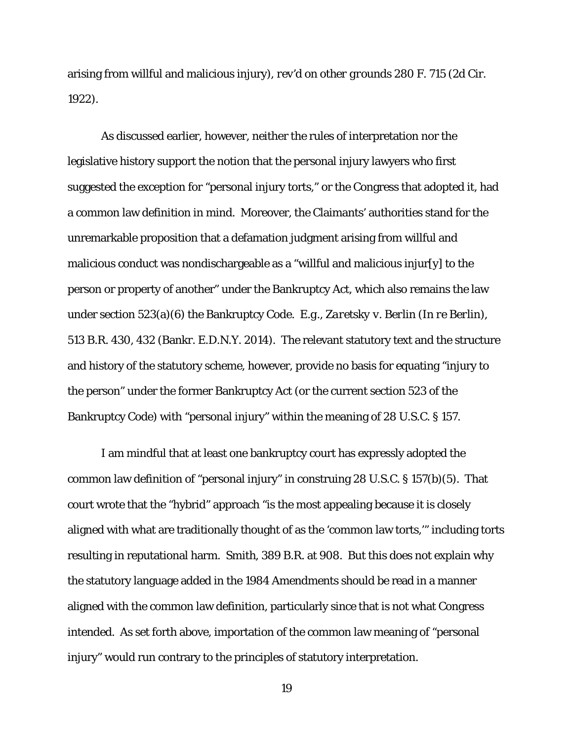arising from willful and malicious injury), *rev'd on other grounds* 280 F. 715 (2d Cir. 1922).

As discussed earlier, however, neither the rules of interpretation nor the legislative history support the notion that the personal injury lawyers who first suggested the exception for "personal injury torts," or the Congress that adopted it, had a common law definition in mind. Moreover, the Claimants' authorities stand for the unremarkable proposition that a defamation judgment arising from willful and malicious conduct was nondischargeable as a "willful and malicious injur[y] to the person or property of another" under the Bankruptcy Act, which also remains the law under section 523(a)(6) the Bankruptcy Code. *E.g.*, *Zaretsky v. Berlin* (*In re Berlin*), 513 B.R. 430, 432 (Bankr. E.D.N.Y. 2014). The relevant statutory text and the structure and history of the statutory scheme, however, provide no basis for equating "injury to the person" under the former Bankruptcy Act (or the current section 523 of the Bankruptcy Code) with "personal injury" within the meaning of 28 U.S.C. § 157.

I am mindful that at least one bankruptcy court has expressly adopted the common law definition of "personal injury" in construing 28 U.S.C. § 157(b)(5). That court wrote that the "hybrid" approach "is the most appealing because it is closely aligned with what are traditionally thought of as the 'common law torts,'" including torts resulting in reputational harm. *Smith*, 389 B.R. at 908. But this does not explain why the statutory language added in the 1984 Amendments *should* be read in a manner aligned with the common law definition, particularly since that is not what Congress intended. As set forth above, importation of the common law meaning of "personal injury" would run contrary to the principles of statutory interpretation.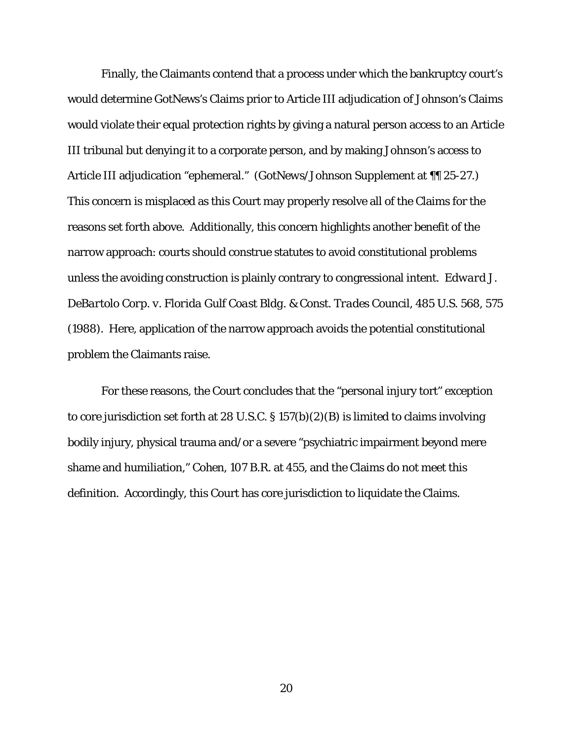Finally, the Claimants contend that a process under which the bankruptcy court's would determine GotNews's Claims prior to Article III adjudication of Johnson's Claims would violate their equal protection rights by giving a natural person access to an Article III tribunal but denying it to a corporate person, and by making Johnson's access to Article III adjudication "ephemeral." (*GotNews/Johnson Supplement* at ¶¶ 25-27.) This concern is misplaced as this Court may properly resolve all of the Claims for the reasons set forth above. Additionally, this concern highlights another benefit of the narrow approach: courts should construe statutes to avoid constitutional problems unless the avoiding construction is plainly contrary to congressional intent. *Edward J. DeBartolo Corp. v. Florida Gulf Coast Bldg. & Const. Trades Council*, 485 U.S. 568, 575 (1988). Here, application of the narrow approach avoids the potential constitutional problem the Claimants raise.

For these reasons, the Court concludes that the "personal injury tort" exception to core jurisdiction set forth at 28 U.S.C. § 157(b)(2)(B) is limited to claims involving bodily injury, physical trauma and/or a severe "psychiatric impairment beyond mere shame and humiliation," *Cohen*, 107 B.R. at 455, and the Claims do not meet this definition. Accordingly, this Court has core jurisdiction to liquidate the Claims.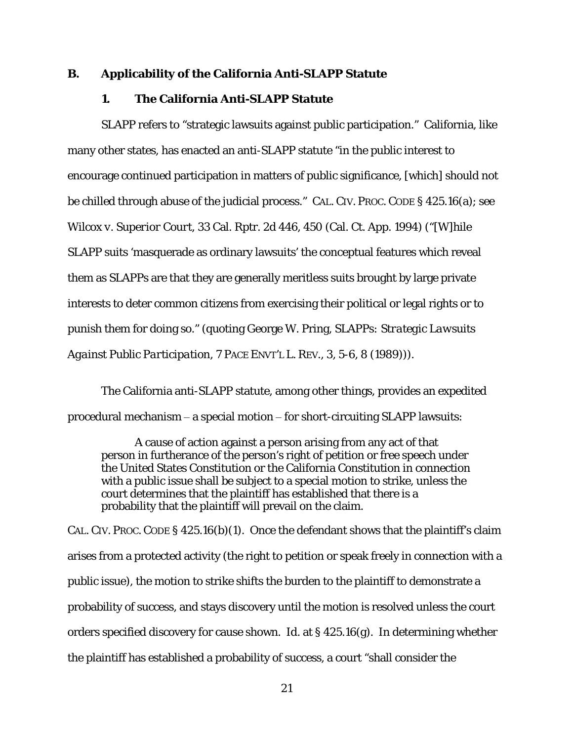#### **B. Applicability of the California Anti-SLAPP Statute**

## **1. The California Anti-SLAPP Statute**

SLAPP refers to "strategic lawsuits against public participation." California, like many other states, has enacted an anti-SLAPP statute "in the public interest to encourage continued participation in matters of public significance, [which] should not be chilled through abuse of the judicial process." CAL. CIV. PROC. CODE § 425.16(a); *see Wilcox v. Superior Court,* 33 Cal. Rptr. 2d 446, 450 (Cal. Ct. App. 1994) ("[W]hile SLAPP suits 'masquerade as ordinary lawsuits' the conceptual features which reveal them as SLAPPs are that they are generally meritless suits brought by large private interests to deter common citizens from exercising their political or legal rights or to punish them for doing so." (quoting George W. Pring, *SLAPPs: Strategic Lawsuits Against Public Participation*, 7 PACE ENVT'L L. REV.*,* 3, 5-6, 8 (1989))).

The California anti-SLAPP statute, among other things, provides an expedited procedural mechanism ‒ a special motion ‒ for short-circuiting SLAPP lawsuits:

A cause of action against a person arising from any act of that person in furtherance of the person's right of petition or free speech under the United States Constitution or the California Constitution in connection with a public issue shall be subject to a special motion to strike, unless the court determines that the plaintiff has established that there is a probability that the plaintiff will prevail on the claim.

CAL. CIV. PROC. CODE § 425.16(b)(1). Once the defendant shows that the plaintiff's claim arises from a protected activity (the right to petition or speak freely in connection with a public issue), the motion to strike shifts the burden to the plaintiff to demonstrate a probability of success, and stays discovery until the motion is resolved unless the court orders specified discovery for cause shown. *Id.* at § 425.16(g). In determining whether the plaintiff has established a probability of success, a court "shall consider the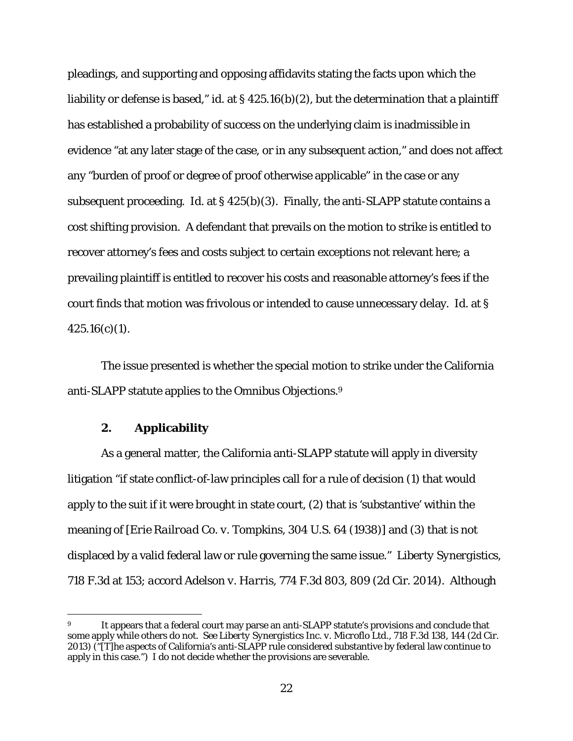pleadings, and supporting and opposing affidavits stating the facts upon which the liability or defense is based," *id*. at § 425.16(b)(2), but the determination that a plaintiff has established a probability of success on the underlying claim is inadmissible in evidence "at any later stage of the case, or in any subsequent action," and does not affect any "burden of proof or degree of proof otherwise applicable" in the case or any subsequent proceeding. *Id.* at § 425(b)(3). Finally, the anti-SLAPP statute contains a cost shifting provision. A defendant that prevails on the motion to strike is entitled to recover attorney's fees and costs subject to certain exceptions not relevant here; a prevailing plaintiff is entitled to recover his costs and reasonable attorney's fees if the court finds that motion was frivolous or intended to cause unnecessary delay. *Id.* at §  $425.16(c)(1)$ .

 The issue presented is whether the special motion to strike under the California anti-SLAPP statute applies to the *Omnibus Objections*.9

## **2. Applicability**

 $\overline{a}$ 

As a general matter, the California anti-SLAPP statute will apply in diversity litigation "if state conflict-of-law principles call for a rule of decision (1) that would apply to the suit if it were brought in state court, (2) that is 'substantive' within the meaning of [*Erie Railroad Co. v. Tompkins*, 304 U.S. 64 (1938)] and (3) that is not displaced by a valid federal law or rule governing the same issue." *Liberty Synergistics*, 718 F.3d at 153; *accord Adelson v. Harris*, 774 F.3d 803, 809 (2d Cir. 2014). Although

<sup>9</sup> It appears that a federal court may parse an anti-SLAPP statute's provisions and conclude that some apply while others do not. *See Liberty Synergistics Inc. v. Microflo Ltd.*, 718 F.3d 138, 144 (2d Cir. 2013) ("[T]he aspects of California's anti-SLAPP rule considered substantive by federal law continue to apply in this case.") I do not decide whether the provisions are severable.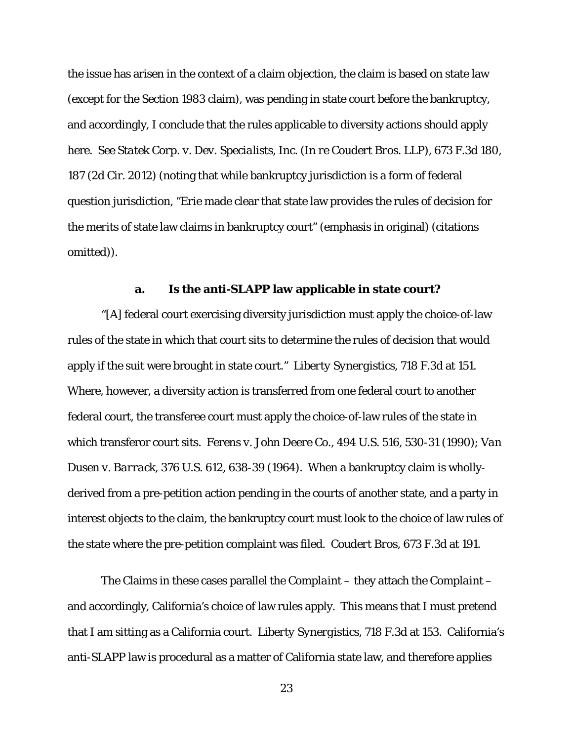the issue has arisen in the context of a claim objection, the claim is based on state law (except for the Section 1983 claim), was pending in state court before the bankruptcy, and accordingly, I conclude that the rules applicable to diversity actions should apply here. *See Statek Corp. v. Dev*. *Specialists, Inc.* (*In re Coudert Bros. LLP*), 673 F.3d 180, 187 (2d Cir. 2012) (noting that while bankruptcy jurisdiction is a form of federal question jurisdiction, "*Erie* made clear that state law provides the rules of decision for the *merits* of state law claims in bankruptcy court" (emphasis in original) (citations omitted)).

#### **a. Is the anti-SLAPP law applicable in state court?**

"[A] federal court exercising diversity jurisdiction must apply the choice-of-law rules of the state in which that court sits to determine the rules of decision that would apply if the suit were brought in state court." *Liberty Synergistics*, 718 F.3d at 151. Where, however, a diversity action is transferred from one federal court to another federal court, the transferee court must apply the choice-of-law rules of the state in which transferor court sits*. Ferens v. John Deere Co.*, 494 U.S. 516, 530-31 (1990); *Van Dusen v. Barrack*, 376 U.S. 612, 638-39 (1964). When a bankruptcy claim is whollyderived from a pre-petition action pending in the courts of another state, and a party in interest objects to the claim, the bankruptcy court must look to the choice of law rules of the state where the pre-petition complaint was filed. *Coudert Bros*, 673 F.3d at 191.

The Claims in these cases parallel the *Complaint* – they attach the *Complaint* – and accordingly, California's choice of law rules apply. This means that I must pretend that I am sitting as a California court. *Liberty Synergistics*, 718 F.3d at 153. California's anti-SLAPP law is procedural as a matter of California state law, and therefore applies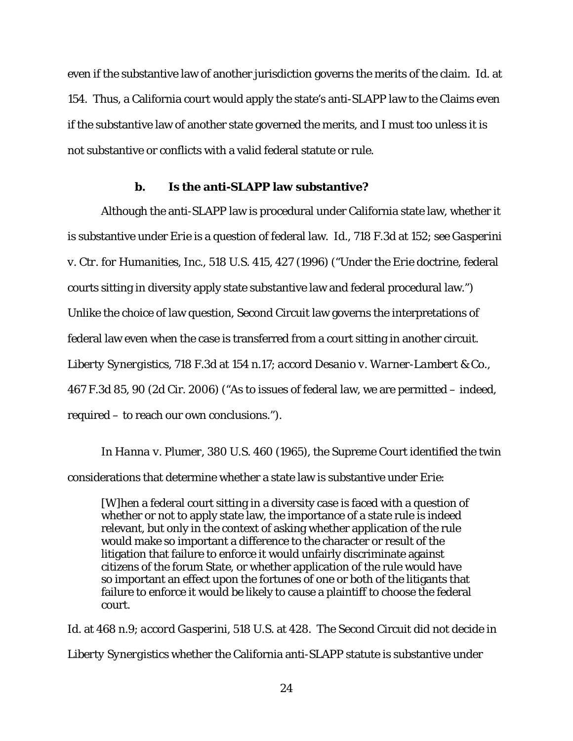even if the substantive law of another jurisdiction governs the merits of the claim. *Id.* at 154. Thus, a California court would apply the state's anti-SLAPP law to the Claims even if the substantive law of another state governed the merits, and I must too unless it is not substantive or conflicts with a valid federal statute or rule.

# **b. Is the anti-SLAPP law substantive?**

Although the anti-SLAPP law is procedural under California state law, whether it is substantive under *Erie* is a question of federal law. *Id.*, 718 F.3d at 152; *see Gasperini v. Ctr. for Humanities, Inc.*, 518 U.S. 415, 427 (1996) ("Under the *Erie* doctrine, federal courts sitting in diversity apply state substantive law and federal procedural law.") Unlike the choice of law question, Second Circuit law governs the interpretations of federal law even when the case is transferred from a court sitting in another circuit. *Liberty Synergistics*, 718 F.3d at 154 n.17; *accord Desanio v. Warner-Lambert & Co.*, 467 F.3d 85, 90 (2d Cir. 2006) ("As to issues of federal law, we are permitted – indeed, required – to reach our own conclusions.").

In *Hanna v. Plumer*, 380 U.S. 460 (1965), the Supreme Court identified the twin considerations that determine whether a state law is substantive under *Erie*:

[W]hen a federal court sitting in a diversity case is faced with a question of whether or not to apply state law, the importance of a state rule is indeed relevant, but only in the context of asking whether application of the rule would make so important a difference to the character or result of the litigation that failure to enforce it would unfairly discriminate against citizens of the forum State, or whether application of the rule would have so important an effect upon the fortunes of one or both of the litigants that failure to enforce it would be likely to cause a plaintiff to choose the federal court.

*Id.* at 468 n.9; *accord Gasperini*, 518 U.S. at 428. The Second Circuit did not decide in *Liberty Synergistics* whether the California anti-SLAPP statute is substantive under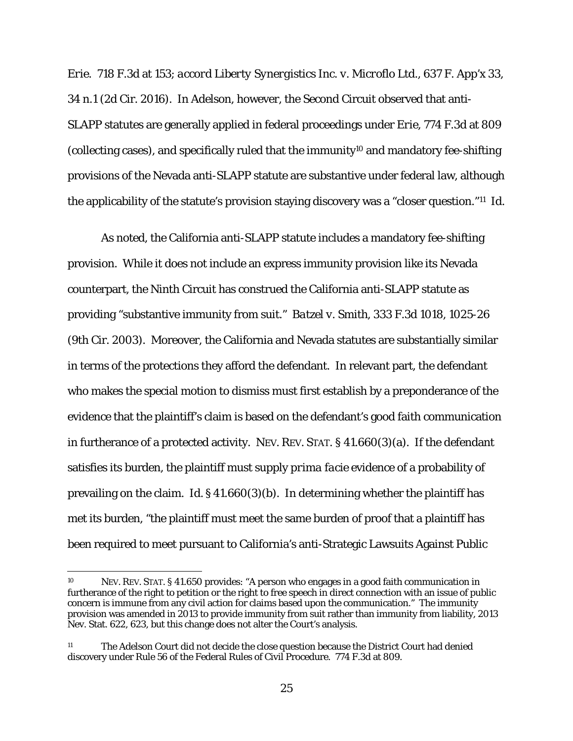*Erie.* 718 F.3d at 153; *accord Liberty Synergistics Inc. v. Microflo Ltd.*, 637 F. App'x 33, 34 n.1 (2d Cir. 2016). In *Adelson*, however, the Second Circuit observed that anti-SLAPP statutes are generally applied in federal proceedings under *Erie*, 774 F.3d at 809 (collecting cases), and specifically ruled that the immunity10 and mandatory fee-shifting provisions of the Nevada anti-SLAPP statute are substantive under federal law, although the applicability of the statute's provision staying discovery was a "closer question."11 *Id.*

As noted, the California anti-SLAPP statute includes a mandatory fee-shifting provision. While it does not include an express immunity provision like its Nevada counterpart, the Ninth Circuit has construed the California anti-SLAPP statute as providing "substantive immunity from suit." *Batzel v. Smith*, 333 F.3d 1018, 1025-26 (9th Cir. 2003). Moreover, the California and Nevada statutes are substantially similar in terms of the protections they afford the defendant. In relevant part, the defendant who makes the special motion to dismiss must first establish by a preponderance of the evidence that the plaintiff's claim is based on the defendant's good faith communication in furtherance of a protected activity. NEV. REV. STAT. § 41.660(3)(a). If the defendant satisfies its burden, the plaintiff must supply *prima facie* evidence of a probability of prevailing on the claim. *Id.* § 41.660(3)(b). In determining whether the plaintiff has met its burden, "the plaintiff must meet the same burden of proof that a plaintiff has been required to meet pursuant to California's anti-Strategic Lawsuits Against Public

<sup>10</sup> NEV. REV. STAT. § 41.650 provides: "A person who engages in a good faith communication in furtherance of the right to petition or the right to free speech in direct connection with an issue of public concern is immune from any civil action for claims based upon the communication." The immunity provision was amended in 2013 to provide immunity from suit rather than immunity from liability, 2013 Nev. Stat. 622, 623, but this change does not alter the Court's analysis.

<sup>11</sup> The *Adelson* Court did not decide the close question because the District Court had denied discovery under Rule 56 of the Federal Rules of Civil Procedure. 774 F.3d at 809.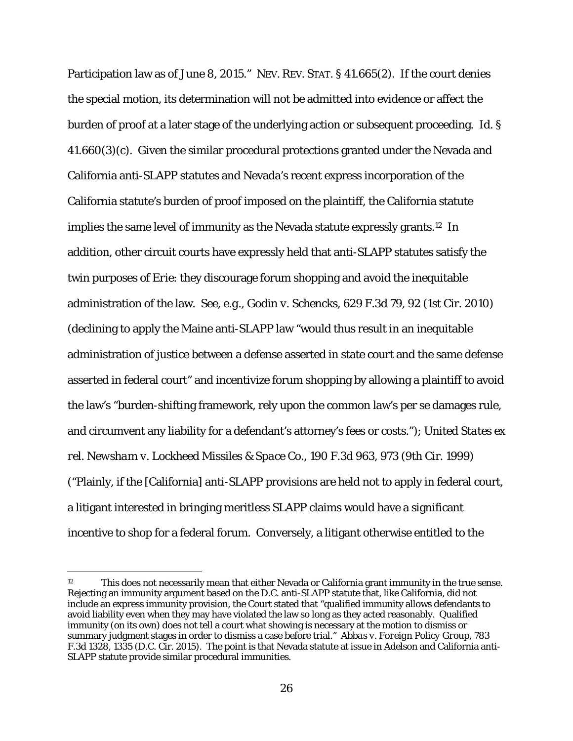Participation law as of June 8, 2015." NEV. REV. STAT. § 41.665(2). If the court denies the special motion, its determination will not be admitted into evidence or affect the burden of proof at a later stage of the underlying action or subsequent proceeding. *Id.* §  $41.660(3)(c)$ . Given the similar procedural protections granted under the Nevada and California anti-SLAPP statutes and Nevada's recent express incorporation of the California statute's burden of proof imposed on the plaintiff, the California statute implies the same level of immunity as the Nevada statute expressly grants.12 In addition, other circuit courts have expressly held that anti-SLAPP statutes satisfy the twin purposes of *Erie*: they discourage forum shopping and avoid the inequitable administration of the law. *See, e.g., Godin v. Schencks,* 629 F.3d 79, 92 (1st Cir. 2010) (declining to apply the Maine anti-SLAPP law "would thus result in an inequitable administration of justice between a defense asserted in state court and the same defense asserted in federal court" and incentivize forum shopping by allowing a plaintiff to avoid the law's "burden-shifting framework, rely upon the common law's per se damages rule, and circumvent any liability for a defendant's attorney's fees or costs."); *United States ex rel. Newsham v. Lockheed Missiles & Space Co.*, 190 F.3d 963, 973 (9th Cir. 1999) ("Plainly, if the [California] anti-SLAPP provisions are held not to apply in federal court, a litigant interested in bringing meritless SLAPP claims would have a significant incentive to shop for a federal forum. Conversely, a litigant otherwise entitled to the

<sup>12</sup> This does not necessarily mean that either Nevada or California grant immunity in the true sense. Rejecting an immunity argument based on the D.C. anti-SLAPP statute that, like California, did not include an express immunity provision, the Court stated that "qualified immunity allows defendants to avoid liability even when they may have violated the law so long as they acted reasonably. Qualified immunity (on its own) does not tell a court what showing is necessary at the motion to dismiss or summary judgment stages in order to dismiss a case before trial." *Abbas v. Foreign Policy Group*, 783 F.3d 1328, 1335 (D.C. Cir. 2015). The point is that Nevada statute at issue in *Adelson* and California anti-SLAPP statute provide similar procedural immunities.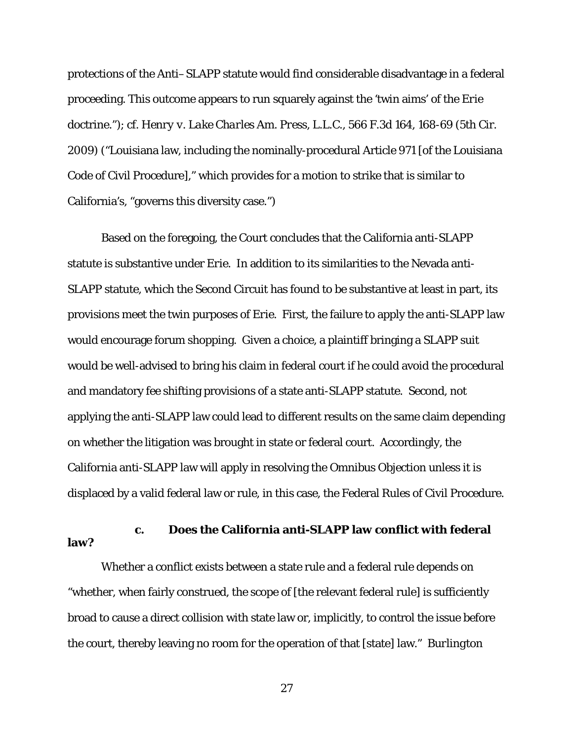protections of the Anti–SLAPP statute would find considerable disadvantage in a federal proceeding. This outcome appears to run squarely against the 'twin aims' of the *Erie* doctrine."); *cf. Henry v. Lake Charles Am. Press, L.L.C.*, 566 F.3d 164, 168-69 (5th Cir. 2009) ("Louisiana law, including the nominally-procedural Article 971 [of the Louisiana Code of Civil Procedure]," which provides for a motion to strike that is similar to California's, "governs this diversity case.")

 Based on the foregoing, the Court concludes that the California anti-SLAPP statute is substantive under *Erie*. In addition to its similarities to the Nevada anti-SLAPP statute, which the Second Circuit has found to be substantive at least in part, its provisions meet the twin purposes of *Erie*. First, the failure to apply the anti-SLAPP law would encourage forum shopping. Given a choice, a plaintiff bringing a SLAPP suit would be well-advised to bring his claim in federal court if he could avoid the procedural and mandatory fee shifting provisions of a state anti-SLAPP statute. Second, not applying the anti-SLAPP law could lead to different results on the same claim depending on whether the litigation was brought in state or federal court. Accordingly, the California anti-SLAPP law will apply in resolving the *Omnibus Objection* unless it is displaced by a valid federal law or rule, in this case, the Federal Rules of Civil Procedure.

# **c. Does the California anti-SLAPP law conflict with federal law?**

Whether a conflict exists between a state rule and a federal rule depends on "whether, when fairly construed, the scope of [the relevant federal rule] is sufficiently broad to cause a direct collision with state law or, implicitly, to control the issue before the court, thereby leaving no room for the operation of that [state] law." *Burlington*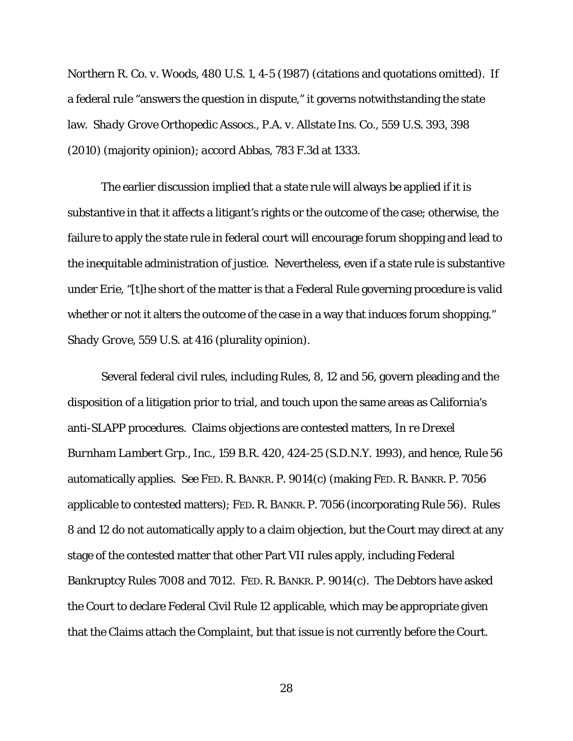*Northern R. Co. v. Woods*, 480 U.S. 1, 4-5 (1987) (citations and quotations omitted). If a federal rule "answers the question in dispute," it governs notwithstanding the state law. *Shady Grove Orthopedic Assocs., P.A. v. Allstate Ins. Co.*, 559 U.S. 393, 398 (2010) (majority opinion); *accord Abbas*, 783 F.3d at 1333.

The earlier discussion implied that a state rule will always be applied if it is substantive in that it affects a litigant's rights or the outcome of the case; otherwise, the failure to apply the state rule in federal court will encourage forum shopping and lead to the inequitable administration of justice. Nevertheless, even if a state rule is substantive under *Erie*, "[t]he short of the matter is that a Federal Rule governing procedure is valid whether or not it alters the outcome of the case in a way that induces forum shopping." *Shady Grove*, 559 U.S. at 416 (plurality opinion).

Several federal civil rules, including Rules, 8, 12 and 56, govern pleading and the disposition of a litigation prior to trial, and touch upon the same areas as California's anti-SLAPP procedures. Claims objections are contested matters, *In re Drexel Burnham Lambert Grp., Inc.*, 159 B.R. 420, 424-25 (S.D.N.Y. 1993), and hence, Rule 56 automatically applies. *See* FED. R. BANKR. P. 9014(c) (making FED. R. BANKR. P. 7056 applicable to contested matters); FED. R. BANKR. P. 7056 (incorporating Rule 56). Rules 8 and 12 do not automatically apply to a claim objection, but the Court may direct at any stage of the contested matter that other Part VII rules apply, including Federal Bankruptcy Rules 7008 and 7012. FED. R. BANKR. P. 9014(c). The Debtors have asked the Court to declare Federal Civil Rule 12 applicable, which may be appropriate given that the Claims attach the *Complaint*, but that issue is not currently before the Court.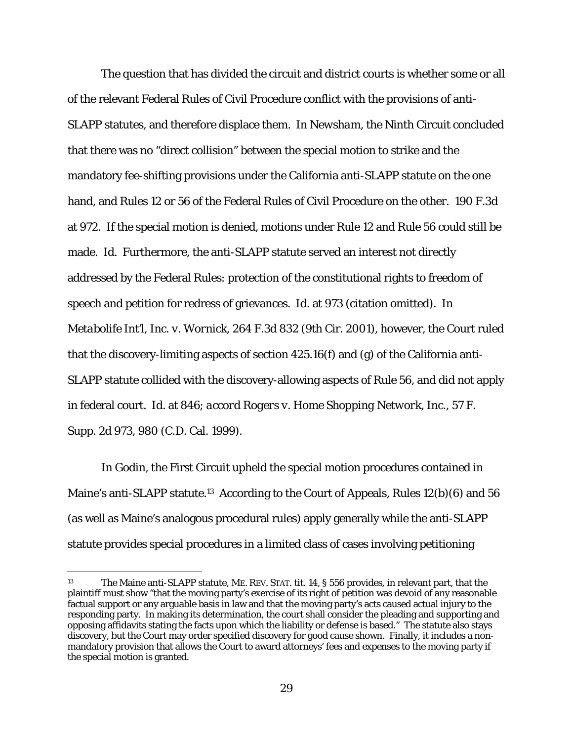The question that has divided the circuit and district courts is whether some or all of the relevant Federal Rules of Civil Procedure conflict with the provisions of anti-SLAPP statutes, and therefore displace them. In *Newsham*, the Ninth Circuit concluded that there was no "direct collision" between the special motion to strike and the mandatory fee-shifting provisions under the California anti-SLAPP statute on the one hand, and Rules 12 or 56 of the Federal Rules of Civil Procedure on the other. 190 F.3d at 972. If the special motion is denied, motions under Rule 12 and Rule 56 could still be made. *Id.* Furthermore, the anti-SLAPP statute served an interest not directly addressed by the Federal Rules: protection of the constitutional rights to freedom of speech and petition for redress of grievances. *Id.* at 973 (citation omitted). In *Metabolife Int'l, Inc. v. Wornick*, 264 F.3d 832 (9th Cir. 2001), however, the Court ruled that the discovery-limiting aspects of section 425.16(f) and (g) of the California anti-SLAPP statute collided with the discovery-allowing aspects of Rule 56, and did not apply in federal court. *Id.* at 846; *accord Rogers v. Home Shopping Network, Inc.*, 57 F. Supp. 2d 973, 980 (C.D. Cal. 1999).

In *Godin*, the First Circuit upheld the special motion procedures contained in Maine's anti-SLAPP statute.<sup>13</sup> According to the Court of Appeals, Rules 12(b)(6) and 56 (as well as Maine's analogous procedural rules) apply generally while the anti-SLAPP statute provides special procedures in a limited class of cases involving petitioning

<sup>13</sup> The Maine anti-SLAPP statute, ME. REV. STAT. tit. 14, § 556 provides, in relevant part, that the plaintiff must show "that the moving party's exercise of its right of petition was devoid of any reasonable factual support or any arguable basis in law and that the moving party's acts caused actual injury to the responding party. In making its determination, the court shall consider the pleading and supporting and opposing affidavits stating the facts upon which the liability or defense is based." The statute also stays discovery, but the Court may order specified discovery for good cause shown. Finally, it includes a nonmandatory provision that allows the Court to award attorneys' fees and expenses to the moving party if the special motion is granted.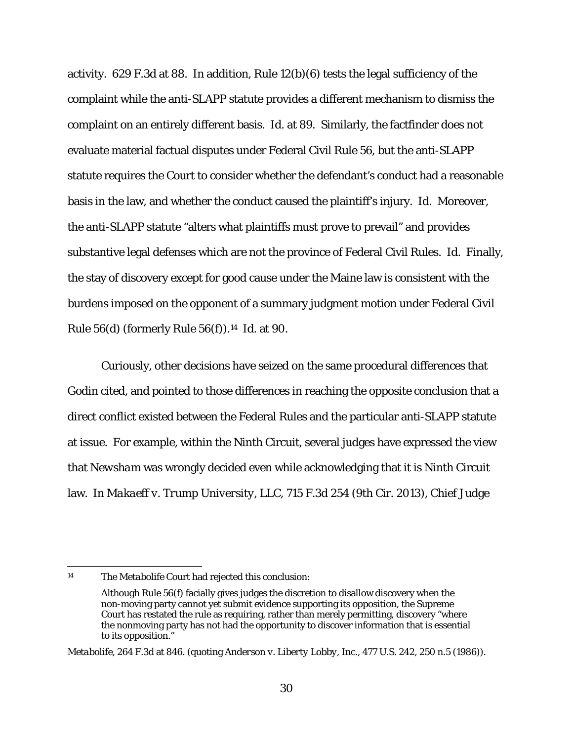activity. 629 F.3d at 88. In addition, Rule 12(b)(6) tests the legal sufficiency of the complaint while the anti-SLAPP statute provides a different mechanism to dismiss the complaint on an entirely different basis. *Id.* at 89. Similarly, the factfinder does not evaluate material factual disputes under Federal Civil Rule 56, but the anti-SLAPP statute requires the Court to consider whether the defendant's conduct had a reasonable basis in the law, and whether the conduct caused the plaintiff's injury. *Id.* Moreover, the anti-SLAPP statute "alters what plaintiffs must prove to prevail" and provides substantive legal defenses which are not the province of Federal Civil Rules. *Id.* Finally, the stay of discovery except for good cause under the Maine law is consistent with the burdens imposed on the opponent of a summary judgment motion under Federal Civil Rule 56(d) (formerly Rule 56(f)).14 *Id.* at 90.

Curiously, other decisions have seized on the same procedural differences that *Godin* cited, and pointed to those differences in reaching the opposite conclusion that a direct conflict existed between the Federal Rules and the particular anti-SLAPP statute at issue. For example, within the Ninth Circuit, several judges have expressed the view that *Newsham* was wrongly decided even while acknowledging that it is Ninth Circuit law. In *Makaeff v. Trump University, LLC*, 715 F.3d 254 (9th Cir. 2013), Chief Judge

 $\overline{a}$ 14 The *Metabolife* Court had rejected this conclusion:

Although Rule 56(f) facially gives judges the discretion to disallow discovery when the non-moving party cannot yet submit evidence supporting its opposition, the Supreme Court has restated the rule as requiring, rather than merely permitting, discovery "where the nonmoving party has not had the opportunity to discover information that is essential to its opposition."

*Metabolife*, 264 F.3d at 846. (quoting *Anderson v. Liberty Lobby, Inc.,* 477 U.S. 242, 250 n.5 (1986)).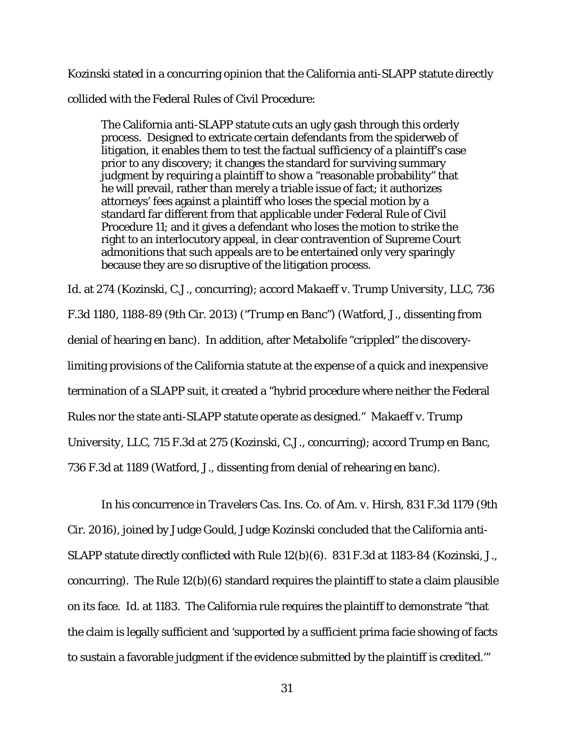Kozinski stated in a concurring opinion that the California anti-SLAPP statute directly collided with the Federal Rules of Civil Procedure:

The California anti-SLAPP statute cuts an ugly gash through this orderly process. Designed to extricate certain defendants from the spiderweb of litigation, it enables them to test the factual sufficiency of a plaintiff's case prior to any discovery; it changes the standard for surviving summary judgment by requiring a plaintiff to show a "reasonable probability" that he will prevail, rather than merely a triable issue of fact; it authorizes attorneys' fees against a plaintiff who loses the special motion by a standard far different from that applicable under Federal Rule of Civil Procedure 11; and it gives a defendant who loses the motion to strike the right to an interlocutory appeal, in clear contravention of Supreme Court admonitions that such appeals are to be entertained only very sparingly because they are so disruptive of the litigation process.

*Id.* at 274 (Kozinski, C.J., concurring); *accord Makaeff v. Trump University, LLC*, 736 F.3d 1180, 1188-89 (9th Cir. 2013) ("*Trump en Banc"*) (Watford, J., dissenting from denial of hearing *en banc*). In addition, after *Metabolife* "crippled" the discoverylimiting provisions of the California statute at the expense of a quick and inexpensive termination of a SLAPP suit, it created a "hybrid procedure where neither the Federal Rules nor the state anti-SLAPP statute operate as designed." *Makaeff v. Trump University, LLC*, 715 F.3d at 275 (Kozinski, C.J., concurring); *accord Trump en Banc*, 736 F.3d at 1189 (Watford, J., dissenting from denial of rehearing *en banc*).

 In his concurrence in *Travelers Cas. Ins. Co. of Am. v. Hirsh*, 831 F.3d 1179 (9th Cir. 2016), joined by Judge Gould, Judge Kozinski concluded that the California anti-SLAPP statute directly conflicted with Rule 12(b)(6). 831 F.3d at 1183-84 (Kozinski, J., concurring). The Rule 12(b)(6) standard requires the plaintiff to state a claim plausible on its face. *Id.* at 1183. The California rule requires the plaintiff to demonstrate "that the claim is legally sufficient and 'supported by a sufficient prima facie showing of facts to sustain a favorable judgment if the evidence submitted by the plaintiff is credited.'"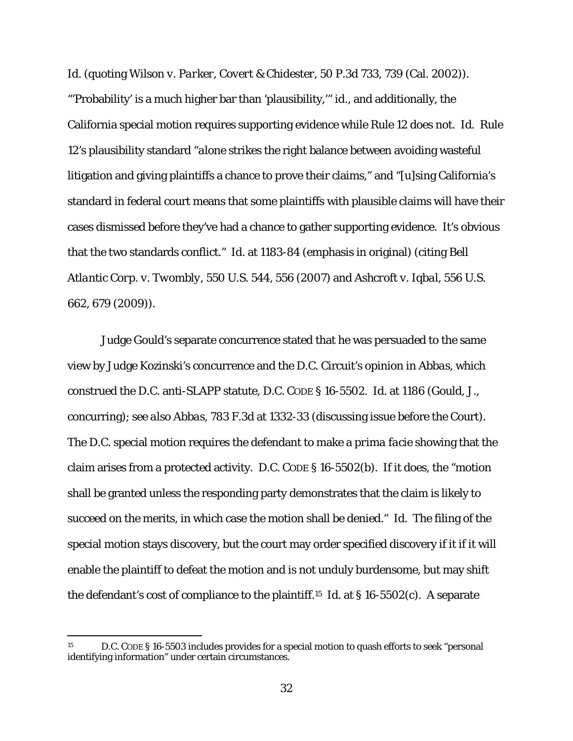*Id.* (quoting *Wilson v. Parker, Covert & Chidester*, 50 P.3d 733, 739 (Cal. 2002)). "'Probability' is a much higher bar than 'plausibility,'" *id.*, and additionally, the California special motion requires supporting evidence while Rule 12 does not. *Id.* Rule 12's plausibility standard "*alone* strikes the right balance between avoiding wasteful litigation and giving plaintiffs a chance to prove their claims," and "[u]sing California's standard in federal court means that some plaintiffs with plausible claims will have their cases dismissed before they've had a chance to gather supporting evidence. It's obvious that the two standards conflict." *Id.* at 1183-84 (emphasis in original) (citing *Bell Atlantic Corp. v. Twombly*, 550 U.S. 544, 556 (2007) and *Ashcroft v. Iqbal*, 556 U.S. 662, 679 (2009)).

Judge Gould's separate concurrence stated that he was persuaded to the same view by Judge Kozinski's concurrence and the D.C. Circuit's opinion in *Abbas*, which construed the D.C. anti-SLAPP statute, D.C. CODE § 16-5502. *Id.* at 1186 (Gould, J., concurring); *see also Abbas,* 783 F.3d at 1332-33 (discussing issue before the Court). The D.C. special motion requires the defendant to make a *prima facie* showing that the claim arises from a protected activity. D.C. CODE § 16-5502(b). If it does, the "motion shall be granted unless the responding party demonstrates that the claim is likely to succeed on the merits, in which case the motion shall be denied." *Id.* The filing of the special motion stays discovery, but the court may order specified discovery if it if it will enable the plaintiff to defeat the motion and is not unduly burdensome, but may shift the defendant's cost of compliance to the plaintiff.15 *Id.* at § 16-5502(c). A separate

<sup>15</sup> D.C. CODE § 16-5503 includes provides for a special motion to quash efforts to seek "personal identifying information" under certain circumstances.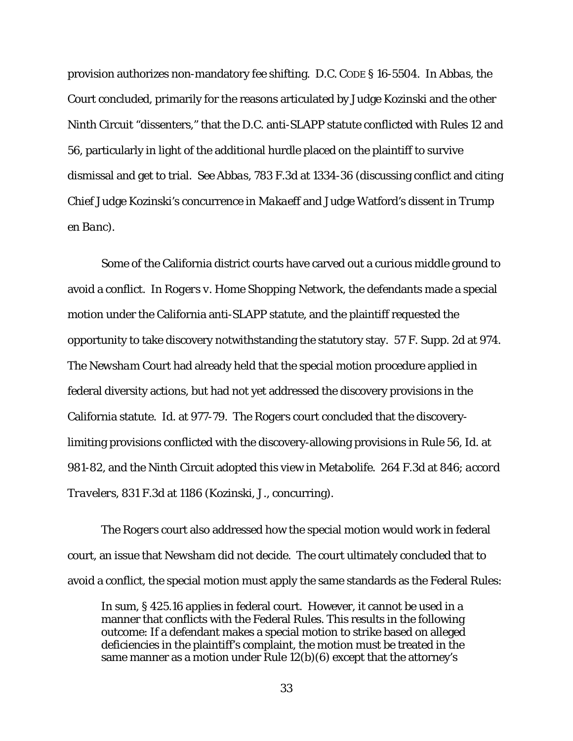provision authorizes non-mandatory fee shifting. D.C. CODE § 16-5504. *In Abbas*, the Court concluded, primarily for the reasons articulated by Judge Kozinski and the other Ninth Circuit "dissenters," that the D.C. anti-SLAPP statute conflicted with Rules 12 and 56, particularly in light of the additional hurdle placed on the plaintiff to survive dismissal and get to trial. *See Abbas*, 783 F.3d at 1334-36 (discussing conflict and citing Chief Judge Kozinski's concurrence in *Makaeff* and Judge Watford's dissent in *Trump en Banc*).

Some of the California district courts have carved out a curious middle ground to avoid a conflict. In *Rogers v. Home Shopping Network*, the defendants made a special motion under the California anti-SLAPP statute, and the plaintiff requested the opportunity to take discovery notwithstanding the statutory stay. 57 F. Supp. 2d at 974. The *Newsham* Court had already held that the special motion procedure applied in federal diversity actions, but had not yet addressed the discovery provisions in the California statute. *Id.* at 977-79. The *Rogers* court concluded that the discoverylimiting provisions conflicted with the discovery-allowing provisions in Rule 56, *Id.* at 981-82, and the Ninth Circuit adopted this view in *Metabolife*. 264 F.3d at 846; *accord Travelers*, 831 F.3d at 1186 (Kozinski, J., concurring).

The *Rogers* court also addressed how the special motion would work in federal court, an issue that *Newsham* did not decide. The court ultimately concluded that to avoid a conflict, the special motion must apply the same standards as the Federal Rules:

In sum, § 425.16 applies in federal court. However, it cannot be used in a manner that conflicts with the Federal Rules. This results in the following outcome: If a defendant makes a special motion to strike based on alleged deficiencies in the plaintiff's complaint, the motion must be treated in the same manner as a motion under Rule  $12(b)(6)$  except that the attorney's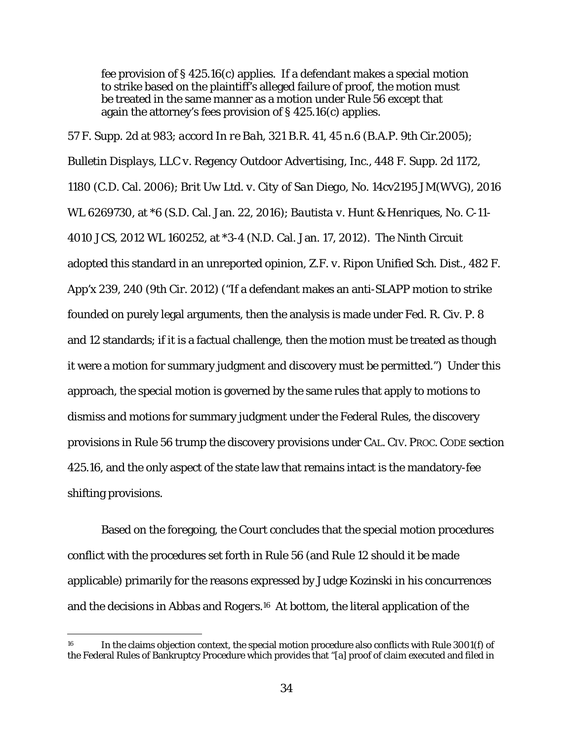fee provision of § 425.16(c) applies. If a defendant makes a special motion to strike based on the plaintiff's alleged failure of proof, the motion must be treated in the same manner as a motion under Rule 56 except that again the attorney's fees provision of § 425.16(c) applies.

57 F. Supp. 2d at 983; *accord In re Bah*, 321 B.R. 41, 45 n.6 (B.A.P. 9th Cir.2005); *Bulletin Displays, LLC v. Regency Outdoor Advertising, Inc.*, 448 F. Supp. 2d 1172, 1180 (C.D. Cal. 2006); *Brit Uw Ltd. v. City of San Diego*, No. 14cv2195 JM(WVG), 2016 WL 6269730, at \*6 (S.D. Cal. Jan. 22, 2016); *Bautista v. Hunt & Henriques,* No. C-11- 4010 JCS, 2012 WL 160252, at \*3-4 (N.D. Cal. Jan. 17, 2012). The Ninth Circuit adopted this standard in an unreported opinion, *Z.F. v. Ripon Unified Sch. Dist.*, 482 F. App'x 239, 240 (9th Cir. 2012) ("If a defendant makes an anti-SLAPP motion to strike founded on purely legal arguments, then the analysis is made under Fed. R. Civ. P. 8 and 12 standards; if it is a factual challenge, then the motion must be treated as though it were a motion for summary judgment and discovery must be permitted.") Under this approach, the special motion is governed by the same rules that apply to motions to dismiss and motions for summary judgment under the Federal Rules, the discovery provisions in Rule 56 trump the discovery provisions under CAL. CIV. PROC. CODE section 425.16, and the only aspect of the state law that remains intact is the mandatory-fee shifting provisions.

 Based on the foregoing, the Court concludes that the special motion procedures conflict with the procedures set forth in Rule 56 (and Rule 12 should it be made applicable) primarily for the reasons expressed by Judge Kozinski in his concurrences and the decisions in *Abbas* and *Rogers*.16 At bottom, the literal application of the

<sup>&</sup>lt;sup>16</sup> In the claims objection context, the special motion procedure also conflicts with Rule 3001(f) of the Federal Rules of Bankruptcy Procedure which provides that "[a] proof of claim executed and filed in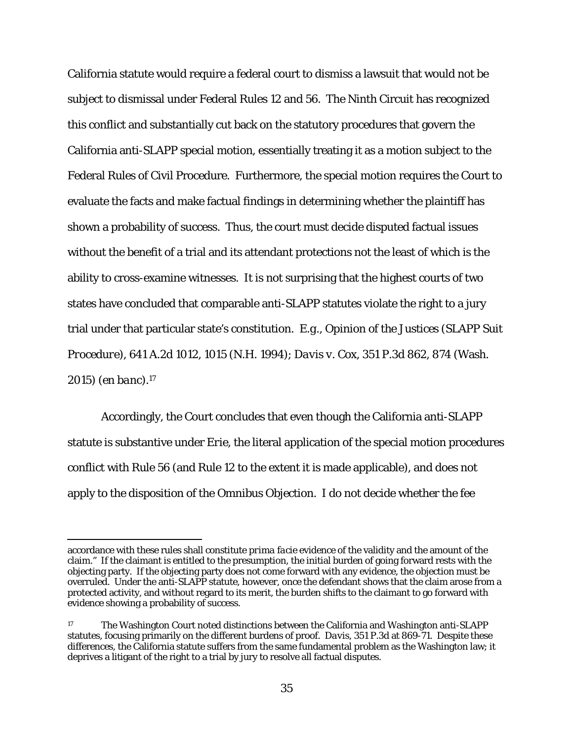California statute would require a federal court to dismiss a lawsuit that would not be subject to dismissal under Federal Rules 12 and 56. The Ninth Circuit has recognized this conflict and substantially cut back on the statutory procedures that govern the California anti-SLAPP special motion, essentially treating it as a motion subject to the Federal Rules of Civil Procedure. Furthermore, the special motion requires the Court to evaluate the facts and make factual findings in determining whether the plaintiff has shown a probability of success. Thus, the court must decide disputed factual issues without the benefit of a trial and its attendant protections not the least of which is the ability to cross-examine witnesses. It is not surprising that the highest courts of two states have concluded that comparable anti-SLAPP statutes violate the right to a jury trial under that particular state's constitution. *E.g.*, *Opinion of the Justices (SLAPP Suit Procedure*), 641 A.2d 1012, 1015 (N.H. 1994); *Davis v. Cox*, 351 P.3d 862, 874 (Wash. 2015) (*en banc*).17

 Accordingly, the Court concludes that even though the California anti-SLAPP statute is substantive under *Erie*, the literal application of the special motion procedures conflict with Rule 56 (and Rule 12 to the extent it is made applicable), and does not apply to the disposition of the *Omnibus Objection*. I do not decide whether the fee

accordance with these rules shall constitute *prima facie* evidence of the validity and the amount of the claim." If the claimant is entitled to the presumption, the initial burden of going forward rests with the objecting party. If the objecting party does not come forward with any evidence, the objection must be overruled. Under the anti-SLAPP statute, however, once the defendant shows that the claim arose from a protected activity, and without regard to its merit, the burden shifts to the claimant to go forward with evidence showing a probability of success.

<sup>&</sup>lt;sup>17</sup> The Washington Court noted distinctions between the California and Washington anti-SLAPP statutes, focusing primarily on the different burdens of proof. *Davis*, 351 P.3d at 869-71. Despite these differences, the California statute suffers from the same fundamental problem as the Washington law; it deprives a litigant of the right to a trial by jury to resolve all factual disputes.